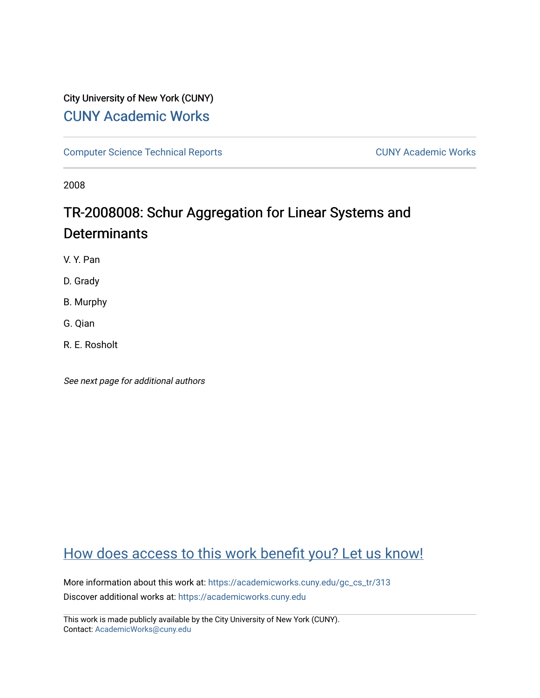# City University of New York (CUNY) [CUNY Academic Works](https://academicworks.cuny.edu/)

[Computer Science Technical Reports](https://academicworks.cuny.edu/gc_cs_tr) **CUNY Academic Works** CUNY Academic Works

2008

# TR-2008008: Schur Aggregation for Linear Systems and **Determinants**

V. Y. Pan

D. Grady

B. Murphy

G. Qian

R. E. Rosholt

See next page for additional authors

# [How does access to this work benefit you? Let us know!](http://ols.cuny.edu/academicworks/?ref=https://academicworks.cuny.edu/gc_cs_tr/313)

More information about this work at: https://academicworks.cuny.edu/gc\_cs\_tr/313 Discover additional works at: [https://academicworks.cuny.edu](https://academicworks.cuny.edu/?)

This work is made publicly available by the City University of New York (CUNY). Contact: [AcademicWorks@cuny.edu](mailto:AcademicWorks@cuny.edu)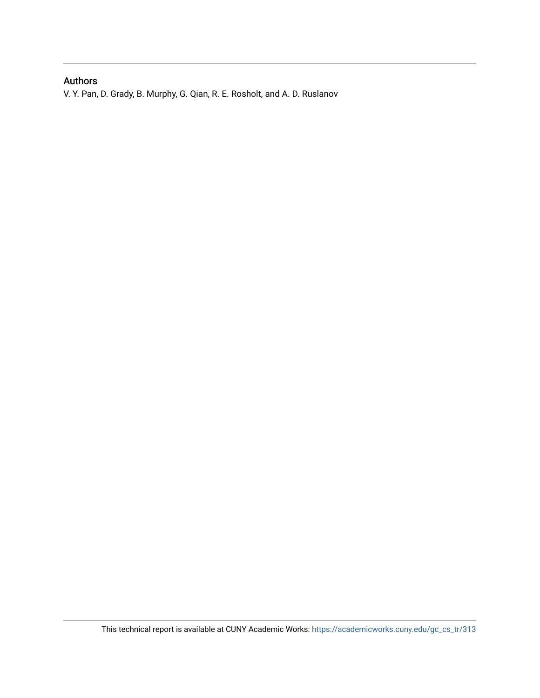## Authors

V. Y. Pan, D. Grady, B. Murphy, G. Qian, R. E. Rosholt, and A. D. Ruslanov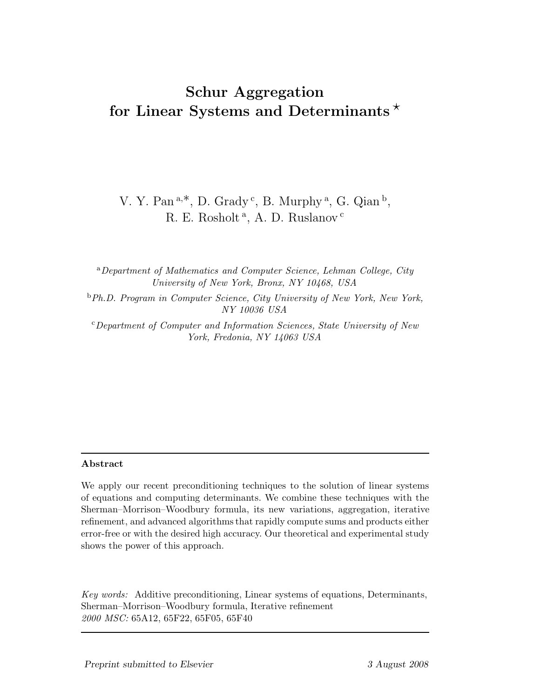# **Schur Aggregation for Linear Systems and Determinants**

V. Y. Pan<sup>a,\*</sup>, D. Grady<sup>c</sup>, B. Murphy<sup>a</sup>, G. Qian<sup>b</sup>, R. E. Rosholt<sup>a</sup>, A. D. Ruslanov<sup>c</sup>

<sup>a</sup>*Department of Mathematics and Computer Science, Lehman College, City University of New York, Bronx, NY 10468, USA*

<sup>b</sup>*Ph.D. Program in Computer Science, City University of New York, New York, NY 10036 USA*

<sup>c</sup>*Department of Computer and Information Sciences, State University of New York, Fredonia, NY 14063 USA*

We apply our recent preconditioning techniques to the solution of linear systems of equations and computing determinants. We combine these techniques with the Sherman–Morrison–Woodbury formula, its new variations, aggregation, iterative refinement, and advanced algorithms that rapidly compute sums and products either error-free or with the desired high accuracy. Our theoretical and experimental study shows the power of this approach.

*Key words:* Additive preconditioning, Linear systems of equations, Determinants, Sherman–Morrison–Woodbury formula, Iterative refinement *2000 MSC:* 65A12, 65F22, 65F05, 65F40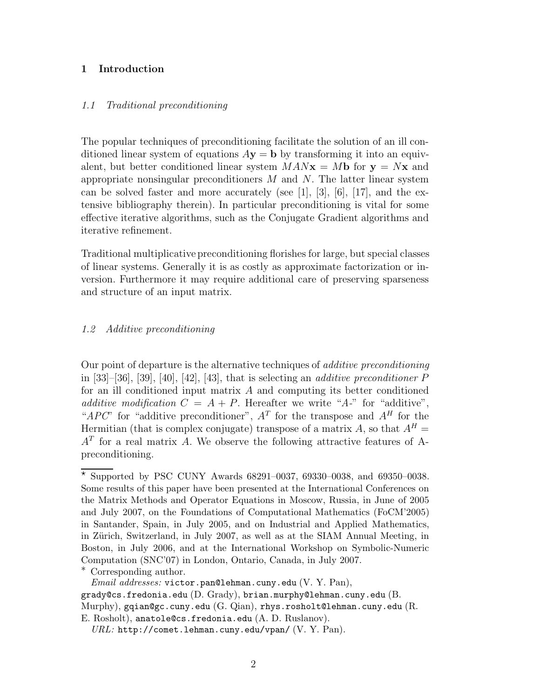#### **1 Introduction**

#### *1.1 Traditional preconditioning*

The popular techniques of preconditioning facilitate the solution of an ill conditioned linear system of equations  $Ay = b$  by transforming it into an equivalent, but better conditioned linear system  $MANx = Mb$  for  $y = Nx$  and appropriate nonsingular preconditioners  $M$  and  $N$ . The latter linear system can be solved faster and more accurately (see [1], [3], [6], [17], and the extensive bibliography therein). In particular preconditioning is vital for some effective iterative algorithms, such as the Conjugate Gradient algorithms and iterative refinement.

Traditional multiplicative preconditioning florishes for large, but special classes of linear systems. Generally it is as costly as approximate factorization or inversion. Furthermore it may require additional care of preserving sparseness and structure of an input matrix.

#### *1.2 Additive preconditioning*

Our point of departure is the alternative techniques of *additive preconditioning* in [33]–[36], [39], [40], [42], [43], that is selecting an *additive preconditioner* P for an ill conditioned input matrix  $A$  and computing its better conditioned *additive modification*  $C = A + P$ . Hereafter we write "*A*-" for "additive", "*APC*" for "additive preconditioner",  $A<sup>T</sup>$  for the transpose and  $A<sup>H</sup>$  for the Hermitian (that is complex conjugate) transpose of a matrix A, so that  $A^H =$  $A<sup>T</sup>$  for a real matrix A. We observe the following attractive features of Apreconditioning.

 $*$  Supported by PSC CUNY Awards 68291-0037, 69330-0038, and 69350-0038. Some results of this paper have been presented at the International Conferences on the Matrix Methods and Operator Equations in Moscow, Russia, in June of 2005 and July 2007, on the Foundations of Computational Mathematics (FoCM'2005) in Santander, Spain, in July 2005, and on Industrial and Applied Mathematics, in Zürich, Switzerland, in July 2007, as well as at the SIAM Annual Meeting, in Boston, in July 2006, and at the International Workshop on Symbolic-Numeric Computation (SNC'07) in London, Ontario, Canada, in July 2007.

<sup>∗</sup> Corresponding author.

*Email addresses:* victor.pan@lehman.cuny.edu (V. Y. Pan), grady@cs.fredonia.edu (D. Grady), brian.murphy@lehman.cuny.edu (B. Murphy), gqian@gc.cuny.edu (G. Qian), rhys.rosholt@lehman.cuny.edu (R. E. Rosholt), anatole@cs.fredonia.edu (A. D. Ruslanov).

*URL:* http://comet.lehman.cuny.edu/vpan/ (V. Y. Pan).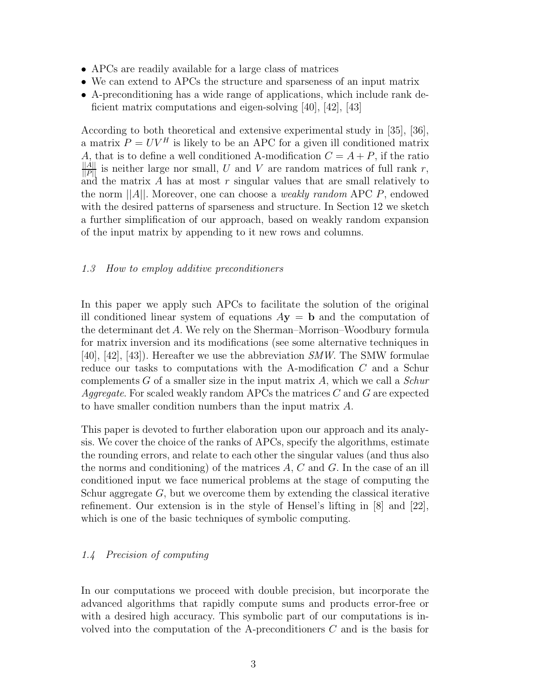- APCs are readily available for a large class of matrices
- We can extend to APCs the structure and sparseness of an input matrix
- A-preconditioning has a wide range of applications, which include rank deficient matrix computations and eigen-solving [40], [42], [43]

According to both theoretical and extensive experimental study in [35], [36], a matrix  $P = UV^H$  is likely to be an APC for a given ill conditioned matrix A, that is to define a well conditioned A-modification  $C = A + P$ , if the ratio  $\frac{||A||}{||P||}$  is neither large nor small, U and V are random matrices of full rank r, and the matrix A has at most  $r$  singular values that are small relatively to the norm ||A||. Moreover, one can choose a *weakly random* APC P, endowed with the desired patterns of sparseness and structure. In Section 12 we sketch a further simplification of our approach, based on weakly random expansion of the input matrix by appending to it new rows and columns.

#### *1.3 How to employ additive preconditioners*

In this paper we apply such APCs to facilitate the solution of the original ill conditioned linear system of equations  $A$ **y** = **b** and the computation of the determinant det A. We rely on the Sherman–Morrison–Woodbury formula for matrix inversion and its modifications (see some alternative techniques in [40], [42], [43]). Hereafter we use the abbreviation *SMW*. The SMW formulae reduce our tasks to computations with the A-modification C and a Schur complements G of a smaller size in the input matrix A, which we call a *Schur Aggregate*. For scaled weakly random APCs the matrices C and G are expected to have smaller condition numbers than the input matrix A.

This paper is devoted to further elaboration upon our approach and its analysis. We cover the choice of the ranks of APCs, specify the algorithms, estimate the rounding errors, and relate to each other the singular values (and thus also the norms and conditioning) of the matrices  $A, C$  and  $G$ . In the case of an ill conditioned input we face numerical problems at the stage of computing the Schur aggregate  $G$ , but we overcome them by extending the classical iterative refinement. Our extension is in the style of Hensel's lifting in [8] and [22], which is one of the basic techniques of symbolic computing.

#### *1.4 Precision of computing*

In our computations we proceed with double precision, but incorporate the advanced algorithms that rapidly compute sums and products error-free or with a desired high accuracy. This symbolic part of our computations is involved into the computation of the A-preconditioners  $C$  and is the basis for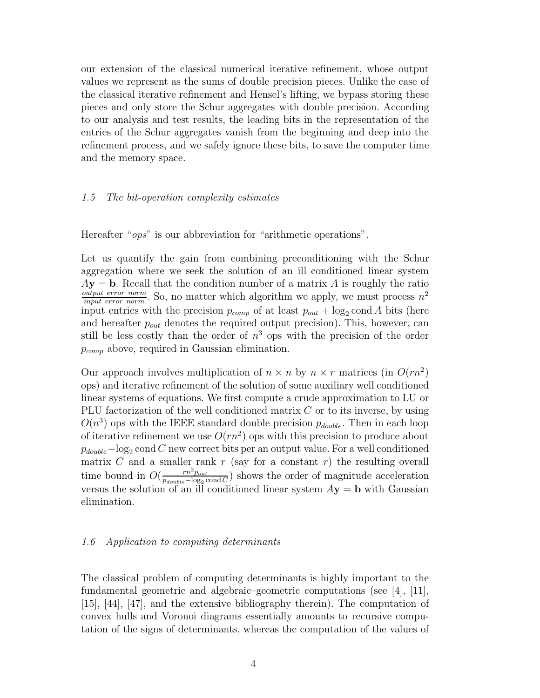our extension of the classical numerical iterative refinement, whose output values we represent as the sums of double precision pieces. Unlike the case of the classical iterative refinement and Hensel's lifting, we bypass storing these pieces and only store the Schur aggregates with double precision. According to our analysis and test results, the leading bits in the representation of the entries of the Schur aggregates vanish from the beginning and deep into the refinement process, and we safely ignore these bits, to save the computer time and the memory space.

#### *1.5 The bit-operation complexity estimates*

Hereafter "*ops*" is our abbreviation for "arithmetic operations".

Let us quantify the gain from combining preconditioning with the Schur aggregation where we seek the solution of an ill conditioned linear system  $A$ **y** = **b**. Recall that the condition number of a matrix A is roughly the ratio  $\frac{output\ error\ norm}{input\ error\ norm}$ . So, no matter which algorithm we apply, we must process  $n^2$ input entries with the precision  $p_{comp}$  of at least  $p_{out} + log_2 \text{cond } A$  bits (here and hereafter  $p_{out}$  denotes the required output precision). This, however, can still be less costly than the order of  $n<sup>3</sup>$  ops with the precision of the order  $p_{comp}$  above, required in Gaussian elimination.

Our approach involves multiplication of  $n \times n$  by  $n \times r$  matrices (in  $O(rn^2)$ ) ops) and iterative refinement of the solution of some auxiliary well conditioned linear systems of equations. We first compute a crude approximation to LU or PLU factorization of the well conditioned matrix  $C$  or to its inverse, by using  $O(n^3)$  ops with the IEEE standard double precision  $p_{double}$ . Then in each loop of iterative refinement we use  $O(rn^2)$  ops with this precision to produce about  $p_{double}$ -log<sub>2</sub> cond C new correct bits per an output value. For a well conditioned matrix C and a smaller rank  $r$  (say for a constant  $r$ ) the resulting overall time bound in  $O(\frac{rn^2p_{out}}{p_{double}-\log_2 \text{cond } C})$  shows the order of magnitude acceleration versus the solution of an ill conditioned linear system  $A$ **y** = **b** with Gaussian elimination.

#### *1.6 Application to computing determinants*

The classical problem of computing determinants is highly important to the fundamental geometric and algebraic–geometric computations (see [4], [11], [15], [44], [47], and the extensive bibliography therein). The computation of convex hulls and Voronoi diagrams essentially amounts to recursive computation of the signs of determinants, whereas the computation of the values of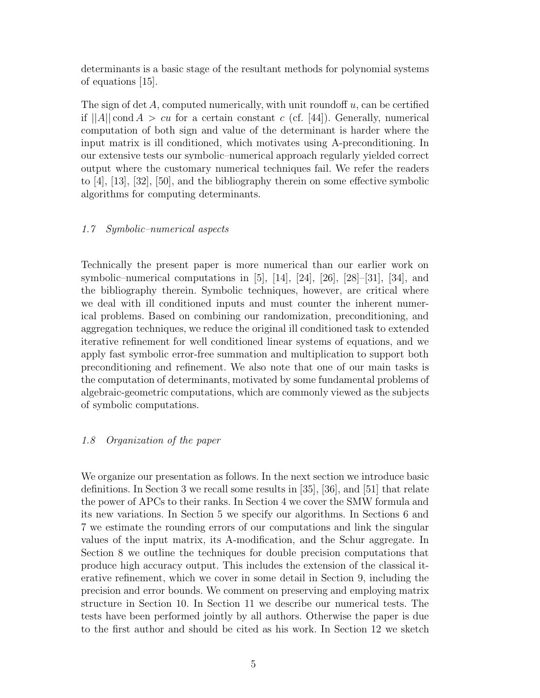determinants is a basic stage of the resultant methods for polynomial systems of equations [15].

The sign of det  $A$ , computed numerically, with unit roundoff  $u$ , can be certified if  $||A||$  cond  $A > cu$  for a certain constant c (cf. [44]). Generally, numerical computation of both sign and value of the determinant is harder where the input matrix is ill conditioned, which motivates using A-preconditioning. In our extensive tests our symbolic–numerical approach regularly yielded correct output where the customary numerical techniques fail. We refer the readers to [4], [13], [32], [50], and the bibliography therein on some effective symbolic algorithms for computing determinants.

#### *1.7 Symbolic–numerical aspects*

Technically the present paper is more numerical than our earlier work on symbolic–numerical computations in  $[5]$ ,  $[14]$ ,  $[24]$ ,  $[26]$ ,  $[28]$ – $[31]$ ,  $[34]$ , and the bibliography therein. Symbolic techniques, however, are critical where we deal with ill conditioned inputs and must counter the inherent numerical problems. Based on combining our randomization, preconditioning, and aggregation techniques, we reduce the original ill conditioned task to extended iterative refinement for well conditioned linear systems of equations, and we apply fast symbolic error-free summation and multiplication to support both preconditioning and refinement. We also note that one of our main tasks is the computation of determinants, motivated by some fundamental problems of algebraic-geometric computations, which are commonly viewed as the subjects of symbolic computations.

### *1.8 Organization of the paper*

We organize our presentation as follows. In the next section we introduce basic definitions. In Section 3 we recall some results in [35], [36], and [51] that relate the power of APCs to their ranks. In Section 4 we cover the SMW formula and its new variations. In Section 5 we specify our algorithms. In Sections 6 and 7 we estimate the rounding errors of our computations and link the singular values of the input matrix, its A-modification, and the Schur aggregate. In Section 8 we outline the techniques for double precision computations that produce high accuracy output. This includes the extension of the classical iterative refinement, which we cover in some detail in Section 9, including the precision and error bounds. We comment on preserving and employing matrix structure in Section 10. In Section 11 we describe our numerical tests. The tests have been performed jointly by all authors. Otherwise the paper is due to the first author and should be cited as his work. In Section 12 we sketch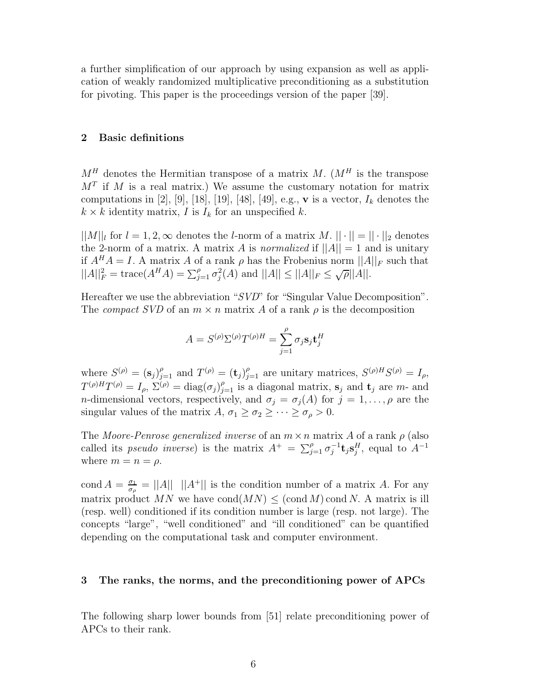a further simplification of our approach by using expansion as well as application of weakly randomized multiplicative preconditioning as a substitution for pivoting. This paper is the proceedings version of the paper [39].

#### **2 Basic definitions**

 $M<sup>H</sup>$  denotes the Hermitian transpose of a matrix M.  $(M<sup>H</sup>$  is the transpose  $M<sup>T</sup>$  if M is a real matrix.) We assume the customary notation for matrix computations in [2], [9], [18], [19], [48], [49], e.g., **v** is a vector,  $I_k$  denotes the  $k \times k$  identity matrix, I is  $I_k$  for an unspecified k.

 $||M||_l$  for  $l = 1, 2, \infty$  denotes the *l*-norm of a matrix M.  $|| \cdot || = || \cdot ||_2$  denotes the 2-norm of a matrix. A matrix A is *normalized* if  $||A|| = 1$  and is unitary if  $A^H A = I$ . A matrix A of a rank  $\rho$  has the Frobenius norm  $||A||_F$  such that  $||A||_F^2 = \text{trace}(A^H A) = \sum_{j=1}^{\rho} \sigma_j^2(A)$  and  $||A|| \leq ||A||_F \leq \sqrt{\rho}||A||$ .

Hereafter we use the abbreviation "*SVD*" for "Singular Value Decomposition". The *compact SVD* of an  $m \times n$  matrix A of a rank  $\rho$  is the decomposition

$$
A = S^{(\rho)} \Sigma^{(\rho)} T^{(\rho)H} = \sum_{j=1}^{\rho} \sigma_j \mathbf{s}_j \mathbf{t}_j^H
$$

where  $S^{(\rho)} = (\mathbf{s}_j)_{j=1}^{\rho}$  and  $T^{(\rho)} = (\mathbf{t}_j)_{j=1}^{\rho}$  are unitary matrices,  $S^{(\rho)H}S^{(\rho)} = I_{\rho}$ ,  $T^{(\rho)H}T^{(\rho)} = I_\rho$ ,  $\Sigma^{(\rho)} = \text{diag}(\sigma_j)_{j=1}^{\rho}$  is a diagonal matrix,  $\mathbf{s}_j$  and  $\mathbf{t}_j$  are m- and *n*-dimensional vectors, respectively, and  $\sigma_j = \sigma_j(A)$  for  $j = 1, \ldots, \rho$  are the singular values of the matrix  $A, \sigma_1 \geq \sigma_2 \geq \cdots \geq \sigma_\rho > 0$ .

The *Moore-Penrose generalized inverse* of an  $m \times n$  matrix A of a rank  $\rho$  (also called its *pseudo inverse*) is the matrix  $A^+ = \sum_{j=1}^{\rho} \sigma_j^{-1} \mathbf{t}_j \mathbf{s}_j^H$ , equal to  $A^{-1}$ where  $m = n = \rho$ .

cond  $A = \frac{\sigma_1}{\sigma_\rho} = ||A|| \cdot ||A^+||$  is the condition number of a matrix A. For any matrix product MN we have cond(MN)  $\leq$  (cond M) cond N. A matrix is ill (resp. well) conditioned if its condition number is large (resp. not large). The concepts "large", "well conditioned" and "ill conditioned" can be quantified depending on the computational task and computer environment.

#### **3 The ranks, the norms, and the preconditioning power of APCs**

The following sharp lower bounds from [51] relate preconditioning power of APCs to their rank.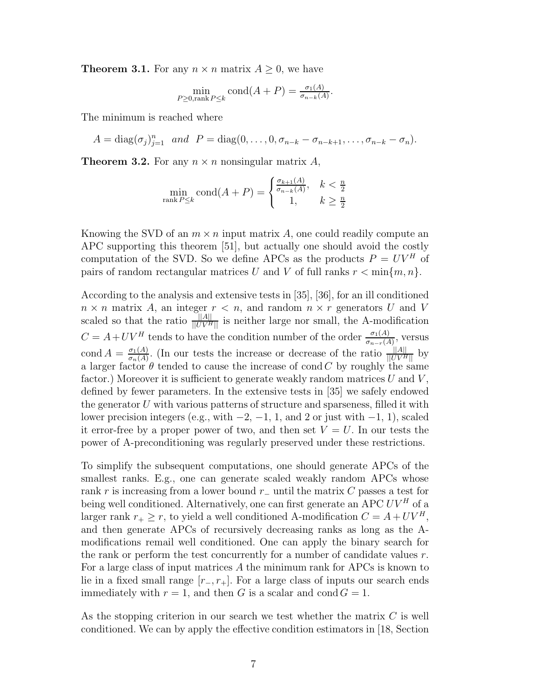**Theorem 3.1.** For any  $n \times n$  matrix  $A \geq 0$ , we have

$$
\min_{P \ge 0, \text{rank } P \le k} \text{cond}(A + P) = \frac{\sigma_1(A)}{\sigma_{n-k}(A)}.
$$

The minimum is reached where

 $A = \text{diag}(\sigma_j)_{j=1}^n$  and  $P = \text{diag}(0,\ldots,0,\sigma_{n-k} - \sigma_{n-k+1},\ldots,\sigma_{n-k} - \sigma_n).$ 

**Theorem 3.2.** For any  $n \times n$  nonsingular matrix A,

$$
\min_{\text{rank } P \le k} \text{cond}(A + P) = \begin{cases} \frac{\sigma_{k+1}(A)}{\sigma_{n-k}(A)}, & k < \frac{n}{2} \\ 1, & k \ge \frac{n}{2} \end{cases}
$$

Knowing the SVD of an  $m \times n$  input matrix A, one could readily compute an APC supporting this theorem [51], but actually one should avoid the costly computation of the SVD. So we define APCs as the products  $P = UV^H$  of pairs of random rectangular matrices U and V of full ranks  $r < \min\{m, n\}$ .

According to the analysis and extensive tests in [35], [36], for an ill conditioned  $n \times n$  matrix A, an integer  $r < n$ , and random  $n \times r$  generators U and V scaled so that the ratio  $\frac{||A||}{||UV^H||}$  is neither large nor small, the A-modification  $C = A + UV^H$  tends to have the condition number of the order  $\frac{\sigma_1(A)}{\sigma_{n-r}(A)}$ , versus cond  $A = \frac{\sigma_1(A)}{\sigma_n(A)}$ . (In our tests the increase or decrease of the ratio  $\frac{\|A\|}{\|UV^H\|}$  by a larger factor  $\theta$  tended to cause the increase of cond C by roughly the same factor.) Moreover it is sufficient to generate weakly random matrices  $U$  and  $V$ , defined by fewer parameters. In the extensive tests in [35] we safely endowed the generator  $U$  with various patterns of structure and sparseness, filled it with lower precision integers (e.g., with  $-2$ ,  $-1$ , 1, and 2 or just with  $-1$ , 1), scaled it error-free by a proper power of two, and then set  $V = U$ . In our tests the power of A-preconditioning was regularly preserved under these restrictions.

To simplify the subsequent computations, one should generate APCs of the smallest ranks. E.g., one can generate scaled weakly random APCs whose rank r is increasing from a lower bound r<sup>−</sup> until the matrix C passes a test for being well conditioned. Alternatively, one can first generate an APC  $UV^H$  of a larger rank  $r_+ \geq r$ , to yield a well conditioned A-modification  $C = A + UV^H$ , and then generate APCs of recursively decreasing ranks as long as the Amodifications remail well conditioned. One can apply the binary search for the rank or perform the test concurrently for a number of candidate values  $r$ . For a large class of input matrices A the minimum rank for APCs is known to lie in a fixed small range  $[r_-, r_+]$ . For a large class of inputs our search ends immediately with  $r = 1$ , and then G is a scalar and cond  $G = 1$ .

As the stopping criterion in our search we test whether the matrix  $C$  is well conditioned. We can by apply the effective condition estimators in [18, Section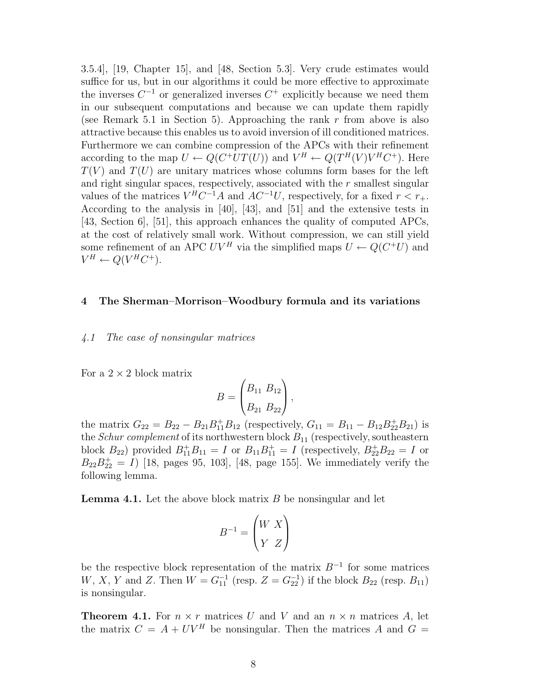3.5.4], [19, Chapter 15], and [48, Section 5.3]. Very crude estimates would suffice for us, but in our algorithms it could be more effective to approximate the inverses  $C^{-1}$  or generalized inverses  $C^+$  explicitly because we need them in our subsequent computations and because we can update them rapidly (see Remark 5.1 in Section 5). Approaching the rank  $r$  from above is also attractive because this enables us to avoid inversion of ill conditioned matrices. Furthermore we can combine compression of the APCs with their refinement according to the map  $U \leftarrow Q(C^+UT(U))$  and  $V^H \leftarrow Q(T^H(V)V^HC^+)$ . Here  $T(V)$  and  $T(U)$  are unitary matrices whose columns form bases for the left and right singular spaces, respectively, associated with the  $r$  smallest singular values of the matrices  $V^H C^{-1}A$  and  $AC^{-1}U$ , respectively, for a fixed  $r < r_{+}$ . According to the analysis in [40], [43], and [51] and the extensive tests in [43, Section 6], [51], this approach enhances the quality of computed APCs, at the cost of relatively small work. Without compression, we can still yield some refinement of an APC  $UV^H$  via the simplified maps  $U \leftarrow Q(C^+U)$  and  $V^H \leftarrow Q(V^HC^+).$ 

#### **4 The Sherman–Morrison–Woodbury formula and its variations**

#### *4.1 The case of nonsingular matrices*

For a  $2 \times 2$  block matrix

$$
B = \begin{pmatrix} B_{11} & B_{12} \\ B_{21} & B_{22} \end{pmatrix},
$$

the matrix  $G_{22} = B_{22} - B_{21}B_{11}^+B_{12}$  (respectively,  $G_{11} = B_{11} - B_{12}B_{22}^+B_{21}$ ) is the *Schur complement* of its northwestern block  $B_{11}$  (respectively, southeastern block  $B_{22}$ ) provided  $B_{11}^{+}B_{11} = I$  or  $B_{11}B_{11}^{+} = I$  (respectively,  $B_{22}^{+}B_{22} = I$  or  $B_{22}B_{22}^+ = I$  [18, pages 95, 103], [48, page 155]. We immediately verify the following lemma.

**Lemma 4.1.** Let the above block matrix B be nonsingular and let

$$
B^{-1} = \begin{pmatrix} W & X \\ Y & Z \end{pmatrix}
$$

be the respective block representation of the matrix  $B^{-1}$  for some matrices  $W, X, Y$  and Z. Then  $W = G_{11}^{-1}$  (resp.  $Z = G_{22}^{-1}$ ) if the block  $B_{22}$  (resp.  $B_{11}$ ) is nonsingular.

**Theorem 4.1.** For  $n \times r$  matrices U and V and an  $n \times n$  matrices A, let the matrix  $C = A + UV^H$  be nonsingular. Then the matrices A and  $G =$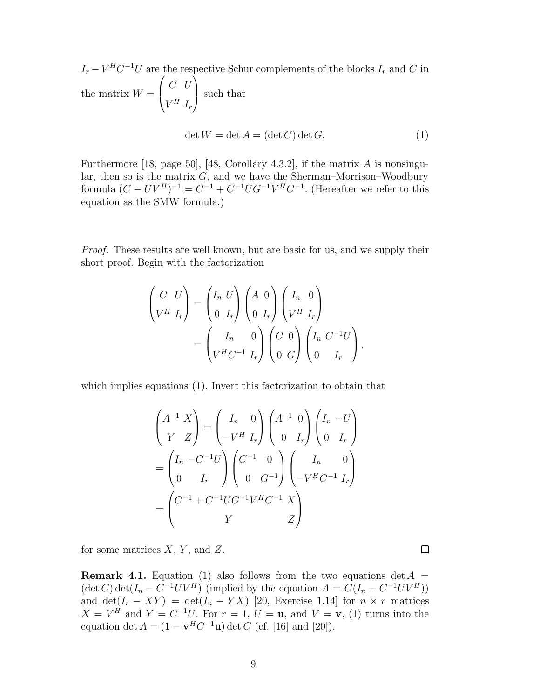$I_r - V^H C^{-1} U$  are the respective Schur complements of the blocks  $I_r$  and C in the matrix  $W =$  $\sqrt{ }$  $\left\{ \right.$  $C$  U  $V^H$   $I_r$  $\setminus$  such that det  $W = \det A = (\det C) \det G.$  (1)

Furthermore [18, page 50], [48, Corollary 4.3.2], if the matrix A is nonsingular, then so is the matrix  $G$ , and we have the Sherman–Morrison–Woodbury formula  $(C - UV^H)^{-1} = C^{-1} + C^{-1}UG^{-1}V^HC^{-1}$ . (Hereafter we refer to this equation as the SMW formula.)

*Proof.* These results are well known, but are basic for us, and we supply their short proof. Begin with the factorization

$$
\begin{pmatrix}\nC & U \\
V^H & I_r\n\end{pmatrix} =\n\begin{pmatrix}\nI_n & U \\
0 & I_r\n\end{pmatrix}\n\begin{pmatrix}\nA & 0 \\
0 & I_r\n\end{pmatrix}\n\begin{pmatrix}\nI_n & 0 \\
V^H & I_r\n\end{pmatrix}
$$
\n
$$
= \begin{pmatrix}\nI_n & 0 \\
V^H C^{-1} & I_r\n\end{pmatrix}\n\begin{pmatrix}\nC & 0 \\
0 & G\n\end{pmatrix}\n\begin{pmatrix}\nI_n & C^{-1}U \\
0 & I_r\n\end{pmatrix},
$$

which implies equations (1). Invert this factorization to obtain that

$$
\begin{pmatrix}\nA^{-1} X \\
Y Z\n\end{pmatrix} =\n\begin{pmatrix}\nI_n & 0 \\
-V^H & I_r\n\end{pmatrix}\n\begin{pmatrix}\nA^{-1} & 0 \\
0 & I_r\n\end{pmatrix}\n\begin{pmatrix}\nI_n & -U \\
0 & I_r\n\end{pmatrix}
$$
\n
$$
= \begin{pmatrix}\nI_n & -C^{-1}U \\
0 & I_r\n\end{pmatrix}\n\begin{pmatrix}\nC^{-1} & 0 \\
0 & G^{-1}\n\end{pmatrix}\n\begin{pmatrix}\nI_n & 0 \\
-V^H C^{-1} & I_r\n\end{pmatrix}
$$
\n
$$
= \begin{pmatrix}\nC^{-1} + C^{-1} U G^{-1} V^H C^{-1} X \\
Y & Z\n\end{pmatrix}
$$

for some matrices  $X, Y$ , and  $Z$ .

**Remark 4.1.** Equation (1) also follows from the two equations  $\det A$  $(\det C) \det(I_n - C^{-1}UV^H)$  (implied by the equation  $A = C(I_n - C^{-1}UV^H)$ ) and  $\det(I_r - XY) = \det(I_n - YX)$  [20, Exercise 1.14] for  $n \times r$  matrices  $X = V^H$  and  $Y = C^{-1}U$ . For  $r = 1, U = \mathbf{u}$ , and  $V = \mathbf{v}$ , (1) turns into the equation det  $A = (1 - \mathbf{v}^H C^{-1} \mathbf{u}) \det C$  (cf. [16] and [20]).

 $\Box$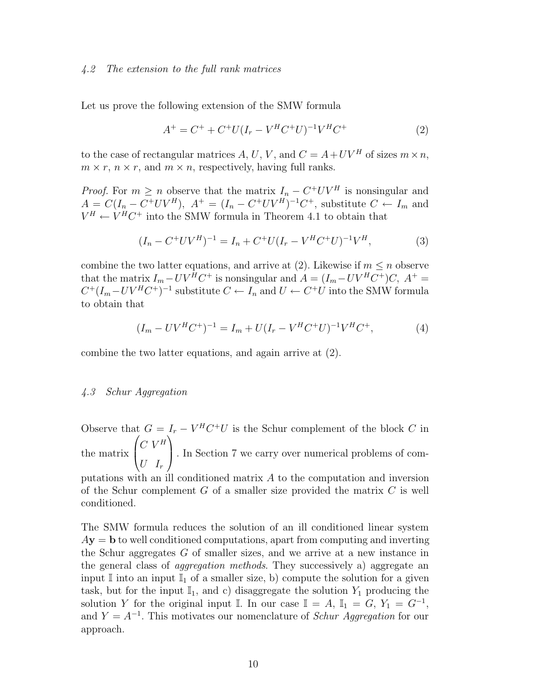#### *4.2 The extension to the full rank matrices*

Let us prove the following extension of the SMW formula

$$
A^{+} = C^{+} + C^{+}U(I_{r} - V^{H}C^{+}U)^{-1}V^{H}C^{+}
$$
\n(2)

to the case of rectangular matrices A, U, V, and  $C = A + UV^H$  of sizes  $m \times n$ ,  $m \times r$ ,  $n \times r$ , and  $m \times n$ , respectively, having full ranks.

*Proof.* For  $m \geq n$  observe that the matrix  $I_n - C^+ UV^H$  is nonsingular and  $A = C(I_n - C^+UV^H), A^+ = (I_n - C^+UV^H)^{-1}C^+$ , substitute  $C \leftarrow I_m$  and  $V^H \leftarrow V^H C^+$  into the SMW formula in Theorem 4.1 to obtain that

$$
(I_n - C^+ UV^H)^{-1} = I_n + C^+ U (I_r - V^H C^+ U)^{-1} V^H,
$$
\n(3)

combine the two latter equations, and arrive at (2). Likewise if  $m \leq n$  observe that the matrix  $I_m - UV^H C^+$  is nonsingular and  $A = (I_m - UV^H C^+)C$ ,  $A^+ =$  $C^+(I_m - UV^HC^+)^{-1}$  substitute  $C \leftarrow I_n$  and  $U \leftarrow C^+U$  into the SMW formula to obtain that

$$
(I_m - UV^H C^+)^{-1} = I_m + U(I_r - V^H C^+ U)^{-1} V^H C^+, \tag{4}
$$

combine the two latter equations, and again arrive at (2).

#### *4.3 Schur Aggregation*

Observe that  $G = I_r - V^H C^+ U$  is the Schur complement of the block C in the matrix  $\sqrt{ }$  $\overline{ }$  $C$   $V^H$  $U$   $I_r$  $\setminus$ . In Section 7 we carry over numerical problems of com-

putations with an ill conditioned matrix A to the computation and inversion of the Schur complement  $G$  of a smaller size provided the matrix  $C$  is well conditioned.

The SMW formula reduces the solution of an ill conditioned linear system  $A$ **y** = **b** to well conditioned computations, apart from computing and inverting the Schur aggregates G of smaller sizes, and we arrive at a new instance in the general class of *aggregation methods*. They successively a) aggregate an input I into an input  $\mathbb{I}_1$  of a smaller size, b) compute the solution for a given task, but for the input  $\mathbb{I}_1$ , and c) disaggregate the solution  $Y_1$  producing the solution Y for the original input I. In our case  $\mathbb{I} = A$ ,  $\mathbb{I}_1 = G$ ,  $Y_1 = G^{-1}$ , and  $Y = A^{-1}$ . This motivates our nomenclature of *Schur Aggregation* for our approach.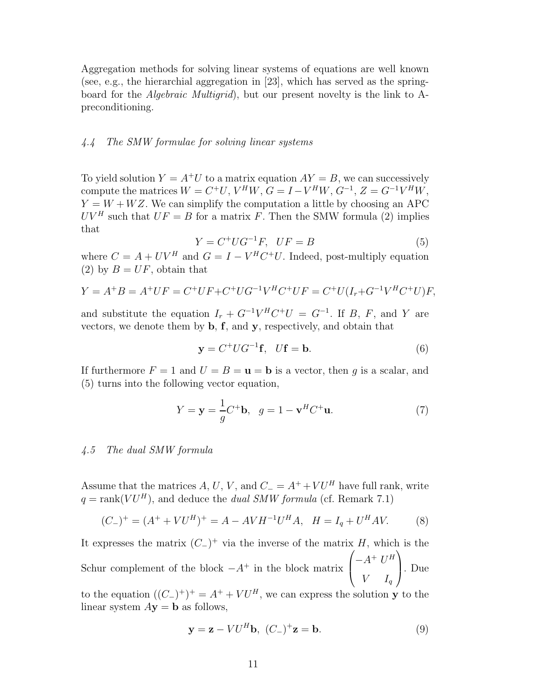Aggregation methods for solving linear systems of equations are well known (see, e.g., the hierarchial aggregation in [23], which has served as the springboard for the *Algebraic Multigrid*), but our present novelty is the link to Apreconditioning.

#### *4.4 The SMW formulae for solving linear systems*

To yield solution  $Y = A^+U$  to a matrix equation  $AY = B$ , we can successively compute the matrices  $W = C^+U$ ,  $V^H W$ ,  $G = I - V^H W$ ,  $G^{-1}$ ,  $Z = G^{-1} V^H W$ ,  $Y = W + WZ$ . We can simplify the computation a little by choosing an APC  $UV^H$  such that  $UF = B$  for a matrix F. Then the SMW formula (2) implies that

$$
Y = C^+ U G^{-1} F, \quad UF = B \tag{5}
$$

where  $C = A + UV^H$  and  $G = I - V^H C^+ U$ . Indeed, post-multiply equation (2) by  $B = UF$ , obtain that

$$
Y = A^{+}B = A^{+}UF = C^{+}UF + C^{+}UG^{-1}V^{H}C^{+}UF = C^{+}U(I_{r} + G^{-1}V^{H}C^{+}U)F,
$$

and substitute the equation  $I_r + G^{-1}V^H C^+U = G^{-1}$ . If B, F, and Y are vectors, we denote them by **b**, **f**, and **y**, respectively, and obtain that

$$
\mathbf{y} = C^+ U G^{-1} \mathbf{f}, \quad U \mathbf{f} = \mathbf{b}.
$$
 (6)

If furthermore  $F = 1$  and  $U = B = \mathbf{u} = \mathbf{b}$  is a vector, then q is a scalar, and (5) turns into the following vector equation,

$$
Y = \mathbf{y} = \frac{1}{g}C^{+}\mathbf{b}, \quad g = 1 - \mathbf{v}^{H}C^{+}\mathbf{u}.
$$
 (7)

#### *4.5 The dual SMW formula*

Assume that the matrices A, U, V, and  $C = A^+ + VU^H$  have full rank, write  $q = \text{rank}(V U^H)$ , and deduce the *dual SMW formula* (cf. Remark 7.1)

$$
(C_{-})^{+} = (A^{+} + VU^{H})^{+} = A - AVH^{-1}U^{H}A, \quad H = I_{q} + U^{H}AV.
$$
 (8)

It expresses the matrix  $(C_+)$ <sup>+</sup> via the inverse of the matrix H, which is the Schur complement of the block  $-A^+$  in the block matrix  $\sqrt{ }$  $\left\{ \right.$  $-A^+ U^H$  $V$   $I_q$  $\setminus$ . Due

to the equation  $((C_+)^+)^+ = A^+ + VU^H$ , we can express the solution **y** to the linear system  $A$ **y** = **b** as follows,

$$
\mathbf{y} = \mathbf{z} - V U^H \mathbf{b}, \ (C_-)^+ \mathbf{z} = \mathbf{b}.
$$
 (9)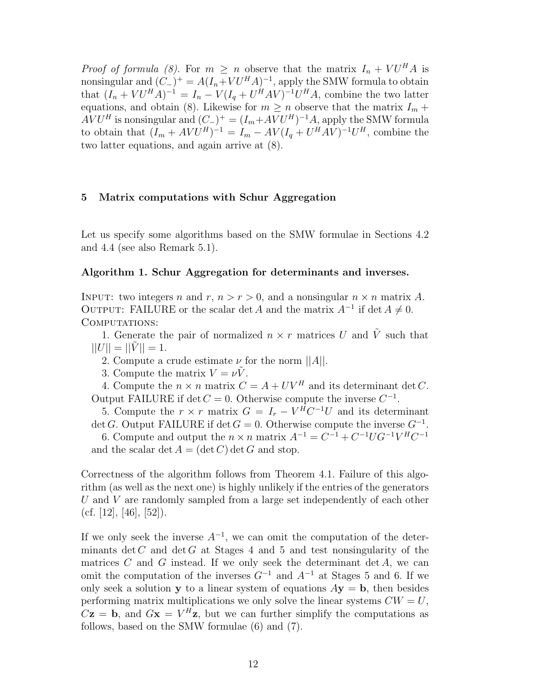*Proof of formula (8).* For  $m \geq n$  observe that the matrix  $I_n + VU^H A$  is nonsingular and  $(C_{-})^{+} = A(I_n + VU^H A)^{-1}$ , apply the SMW formula to obtain that  $(I_n + V U^H A)^{-1} = I_n - V (I_q + U^H A V)^{-1} U^H A$ , combine the two latter equations, and obtain (8). Likewise for  $m \geq n$  observe that the matrix  $I_m$  +  $AVU^H$  is nonsingular and  $(C_{-})^+ = (I_m + AVU^H)^{-1}A$ , apply the SMW formula to obtain that  $(I_m + AVU^H)^{-1} = I_m - AV(I_q + U^HAV)^{-1}U^H$ , combine the two latter equations, and again arrive at (8).

#### **5 Matrix computations with Schur Aggregation**

Let us specify some algorithms based on the SMW formulae in Sections 4.2 and 4.4 (see also Remark 5.1).

#### **Algorithm 1. Schur Aggregation for determinants and inverses.**

INPUT: two integers n and r,  $n > r > 0$ , and a nonsingular  $n \times n$  matrix A. OUTPUT: FAILURE or the scalar det A and the matrix  $A^{-1}$  if det  $A \neq 0$ . COMPUTATIONS:

1. Generate the pair of normalized  $n \times r$  matrices U and  $\tilde{V}$  such that  $||U|| = ||V|| = 1.$ 

2. Compute a crude estimate  $\nu$  for the norm  $||A||$ .

3. Compute the matrix  $V = \nu V$ .

4. Compute the  $n \times n$  matrix  $C = A + UV^H$  and its determinant det C. Output FAILURE if det  $C = 0$ . Otherwise compute the inverse  $C^{-1}$ .

5. Compute the  $r \times r$  matrix  $G = I_r - V^H C^{-1} U$  and its determinant det G. Output FAILURE if det  $G = 0$ . Otherwise compute the inverse  $G^{-1}$ .

6. Compute and output the  $n \times n$  matrix  $A^{-1} = C^{-1} + C^{-1} U G^{-1} V^H C^{-1}$ and the scalar det  $A = (\det C) \det G$  and stop.

Correctness of the algorithm follows from Theorem 4.1. Failure of this algorithm (as well as the next one) is highly unlikely if the entries of the generators U and V are randomly sampled from a large set independently of each other  $(cf. [12], [46], [52]).$ 

If we only seek the inverse  $A^{-1}$ , we can omit the computation of the determinants det C and det G at Stages 4 and 5 and test nonsingularity of the matrices  $C$  and  $G$  instead. If we only seek the determinant det  $A$ , we can omit the computation of the inverses  $G^{-1}$  and  $A^{-1}$  at Stages 5 and 6. If we only seek a solution **y** to a linear system of equations  $A$ **y** = **b**, then besides performing matrix multiplications we only solve the linear systems  $CW = U$ ,  $C\mathbf{z} = \mathbf{b}$ , and  $G\mathbf{x} = V^H\mathbf{z}$ , but we can further simplify the computations as follows, based on the SMW formulae (6) and (7).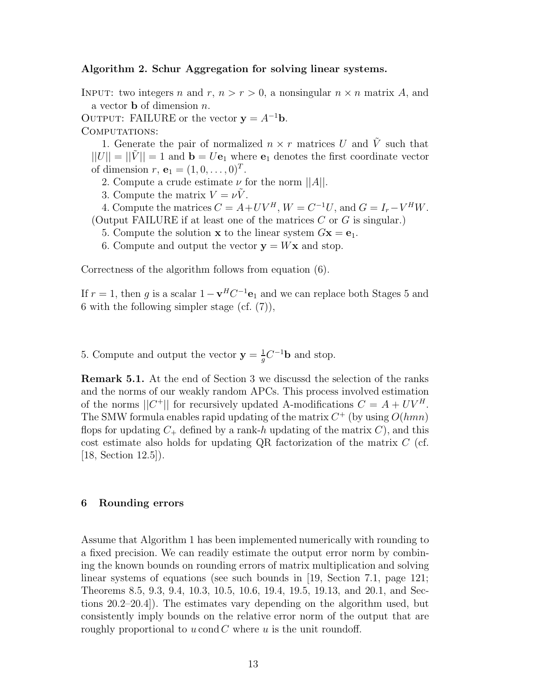#### **Algorithm 2. Schur Aggregation for solving linear systems.**

INPUT: two integers n and r,  $n > r > 0$ , a nonsingular  $n \times n$  matrix A, and a vector **b** of dimension n.

OUTPUT: FAILURE or the vector  $y = A^{-1}b$ .

COMPUTATIONS:

1. Generate the pair of normalized  $n \times r$  matrices U and  $\tilde{V}$  such that  $||U|| = ||V|| = 1$  and  $\mathbf{b} = U\mathbf{e}_1$  where  $\mathbf{e}_1$  denotes the first coordinate vector of dimension  $r, e_1 = (1, 0, \ldots, 0)^T$ .

- 2. Compute a crude estimate  $\nu$  for the norm  $||A||$ .
- 3. Compute the matrix  $V = \nu V$ .

4. Compute the matrices  $C = A + UV^H$ ,  $W = C^{-1}U$ , and  $G = I_r - V^H W$ .

- (Output FAILURE if at least one of the matrices  $C$  or  $G$  is singular.)
	- 5. Compute the solution **x** to the linear system  $G$ **x** =  $e_1$ .
	- 6. Compute and output the vector  $y = Wx$  and stop.

Correctness of the algorithm follows from equation (6).

If  $r = 1$ , then g is a scalar  $1 - \mathbf{v}^H C^{-1} \mathbf{e}_1$  and we can replace both Stages 5 and 6 with the following simpler stage (cf.  $(7)$ ),

5. Compute and output the vector  $\mathbf{y} = \frac{1}{g}C^{-1}\mathbf{b}$  and stop.

**Remark 5.1.** At the end of Section 3 we discussd the selection of the ranks and the norms of our weakly random APCs. This process involved estimation of the norms  $||C^+||$  for recursively updated A-modifications  $C = A + UV^H$ . The SMW formula enables rapid updating of the matrix  $C^+$  (by using  $O(hmn)$ ) flops for updating  $C_+$  defined by a rank-h updating of the matrix C), and this cost estimate also holds for updating QR factorization of the matrix  $C$  (cf. [18, Section 12.5]).

#### **6 Rounding errors**

Assume that Algorithm 1 has been implemented numerically with rounding to a fixed precision. We can readily estimate the output error norm by combining the known bounds on rounding errors of matrix multiplication and solving linear systems of equations (see such bounds in [19, Section 7.1, page 121; Theorems 8.5, 9.3, 9.4, 10.3, 10.5, 10.6, 19.4, 19.5, 19.13, and 20.1, and Sections 20.2–20.4]). The estimates vary depending on the algorithm used, but consistently imply bounds on the relative error norm of the output that are roughly proportional to  $u$  cond  $C$  where  $u$  is the unit roundoff.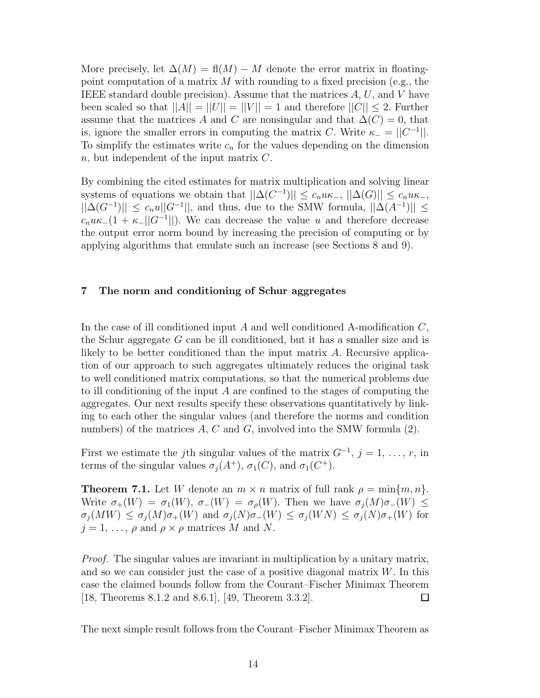More precisely, let  $\Delta(M) = \text{fl}(M) - M$  denote the error matrix in floatingpoint computation of a matrix  $M$  with rounding to a fixed precision (e.g., the IEEE standard double precision). Assume that the matrices  $A, U$ , and V have been scaled so that  $||A|| = ||U|| = ||V|| = 1$  and therefore  $||C|| \leq 2$ . Further assume that the matrices A and C are nonsingular and that  $\Delta(C) = 0$ , that is, ignore the smaller errors in computing the matrix C. Write  $\kappa_- = ||C^{-1}||$ . To simplify the estimates write  $c_n$  for the values depending on the dimension  $n$ , but independent of the input matrix  $C$ .

By combining the cited estimates for matrix multiplication and solving linear systems of equations we obtain that  $||\Delta(C^{-1})|| \leq c_n u \kappa_-, ||\Delta(G)|| \leq c_n u \kappa_-,$  $||\Delta(G^{-1})|| \leq c_n u||G^{-1}||$ , and thus, due to the SMW formula,  $||\Delta(A^{-1})|| \leq$  $c_n u \kappa_-(1 + \kappa_- ||G^{-1}||)$ . We can decrease the value u and therefore decrease the output error norm bound by increasing the precision of computing or by applying algorithms that emulate such an increase (see Sections 8 and 9).

### **7 The norm and conditioning of Schur aggregates**

In the case of ill conditioned input A and well conditioned A-modification  $C$ , the Schur aggregate  $G$  can be ill conditioned, but it has a smaller size and is likely to be better conditioned than the input matrix A. Recursive application of our approach to such aggregates ultimately reduces the original task to well conditioned matrix computations, so that the numerical problems due to ill conditioning of the input A are confined to the stages of computing the aggregates. Our next results specify these observations quantitatively by linking to each other the singular values (and therefore the norms and condition numbers) of the matrices  $A, C$  and  $G$ , involved into the SMW formula  $(2)$ .

First we estimate the j<sup>th</sup> singular values of the matrix  $G^{-1}$ ,  $j = 1, \ldots, r$ , in terms of the singular values  $\sigma_i(A^+), \sigma_1(C)$ , and  $\sigma_1(C^+)$ .

**Theorem 7.1.** Let W denote an  $m \times n$  matrix of full rank  $\rho = \min\{m, n\}$ . Write  $\sigma_+(W) = \sigma_1(W)$ ,  $\sigma_-(W) = \sigma_\rho(W)$ . Then we have  $\sigma_i(M)\sigma_-(W) \leq$  $\sigma_j(MW) \leq \sigma_j(M)\sigma_{+}(W)$  and  $\sigma_j(N)\sigma_{-}(W) \leq \sigma_j(WN) \leq \sigma_j(N)\sigma_{+}(W)$  for  $j = 1, \ldots, \rho$  and  $\rho \times \rho$  matrices M and N.

*Proof.* The singular values are invariant in multiplication by a unitary matrix, and so we can consider just the case of a positive diagonal matrix  $W$ . In this case the claimed bounds follow from the Courant–Fischer Minimax Theorem [18, Theorems 8.1.2 and 8.6.1], [49, Theorem 3.3.2].  $\Box$ 

The next simple result follows from the Courant–Fischer Minimax Theorem as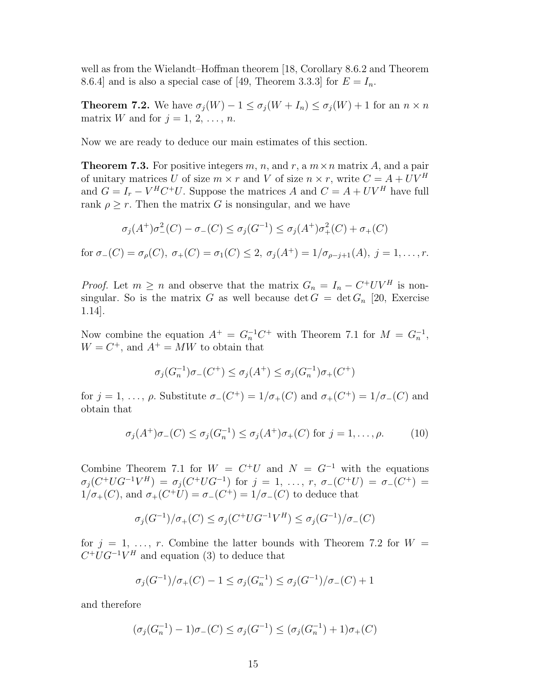well as from the Wielandt–Hoffman theorem [18, Corollary 8.6.2 and Theorem 8.6.4] and is also a special case of [49, Theorem 3.3.3] for  $E = I_n$ .

**Theorem 7.2.** We have  $\sigma_j(W) - 1 \leq \sigma_j(W + I_n) \leq \sigma_j(W) + 1$  for an  $n \times n$ matrix W and for  $j = 1, 2, \ldots, n$ .

Now we are ready to deduce our main estimates of this section.

**Theorem 7.3.** For positive integers m, n, and r, a  $m \times n$  matrix A, and a pair of unitary matrices U of size  $m \times r$  and V of size  $n \times r$ , write  $C = A + UV^H$ and  $G = I_r - V^H C^+ U$ . Suppose the matrices A and  $C = A + UV^H$  have full rank  $\rho > r$ . Then the matrix G is nonsingular, and we have

$$
\sigma_j(A^+)\sigma^2_-(C) - \sigma_-(C) \leq \sigma_j(G^{-1}) \leq \sigma_j(A^+)\sigma^2_+(C) + \sigma_+(C)
$$

for  $\sigma_-(C) = \sigma_o(C)$ ,  $\sigma_+(C) = \sigma_1(C) \leq 2$ ,  $\sigma_i(A^+) = 1/\sigma_{o-i+1}(A)$ ,  $i = 1, ..., r$ .

*Proof.* Let  $m \ge n$  and observe that the matrix  $G_n = I_n - C^+ UV^H$  is nonsingular. So is the matrix G as well because  $\det G = \det G_n$  [20, Exercise 1.14].

Now combine the equation  $A^+ = G_n^{-1}C^+$  with Theorem 7.1 for  $M = G_n^{-1}$ ,  $W = C^{+}$ , and  $A^{+} = MW$  to obtain that

$$
\sigma_j(G_n^{-1})\sigma_-(C^+) \le \sigma_j(A^+) \le \sigma_j(G_n^{-1})\sigma_+(C^+)
$$

for  $j = 1, \ldots, \rho$ . Substitute  $\sigma_-(C^+) = 1/\sigma_+(C)$  and  $\sigma_+(C^+) = 1/\sigma_-(C)$  and obtain that

$$
\sigma_j(A^+) \sigma_-(C) \le \sigma_j(G_n^{-1}) \le \sigma_j(A^+) \sigma_+(C) \text{ for } j = 1, \dots, \rho.
$$
 (10)

Combine Theorem 7.1 for  $W = C^+U$  and  $N = G^{-1}$  with the equations  $\sigma_j(C^+UG^{-1}V^H) = \sigma_j(C^+UG^{-1})$  for  $j = 1, \ldots, r, \sigma_-(C^+U) = \sigma_-(C^+) =$  $1/\sigma_{+}(C)$ , and  $\sigma_{+}(C^{+}U) = \sigma_{-}(C^{+})=1/\sigma_{-}(C)$  to deduce that

$$
\sigma_j(G^{-1})/\sigma_+(C) \le \sigma_j(C^+ U G^{-1} V^H) \le \sigma_j(G^{-1})/\sigma_-(C)
$$

for  $j = 1, \ldots, r$ . Combine the latter bounds with Theorem 7.2 for  $W =$  $C^+UG^{-1}V^H$  and equation (3) to deduce that

$$
\sigma_j(G^{-1})/\sigma_+(C) - 1 \le \sigma_j(G_n^{-1}) \le \sigma_j(G^{-1})/\sigma_-(C) + 1
$$

and therefore

$$
(\sigma_j(G_n^{-1}) - 1)\sigma_-(C) \le \sigma_j(G^{-1}) \le (\sigma_j(G_n^{-1}) + 1)\sigma_+(C)
$$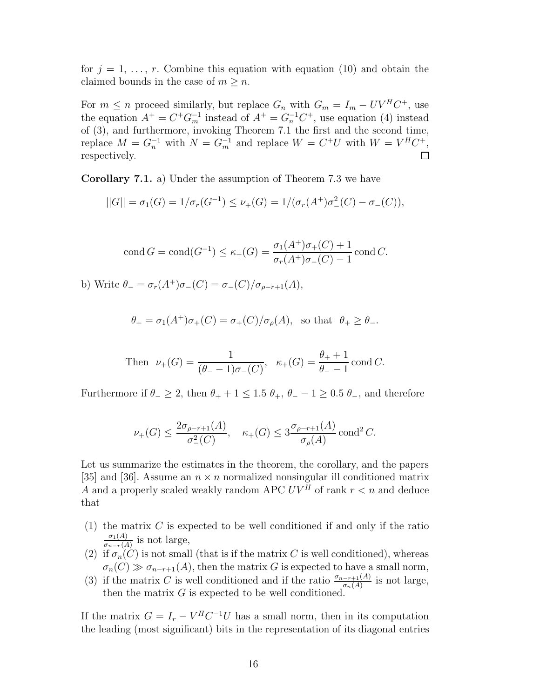for  $j = 1, \ldots, r$ . Combine this equation with equation (10) and obtain the claimed bounds in the case of  $m \geq n$ .

For  $m \leq n$  proceed similarly, but replace  $G_n$  with  $G_m = I_m - UV^H C^+$ , use the equation  $A^+ = C^+ G_m^{-1}$  instead of  $A^+ = G_n^{-1} C^+$ , use equation (4) instead of (3), and furthermore, invoking Theorem 7.1 the first and the second time, replace  $M = G_n^{-1}$  with  $N = G_m^{-1}$  and replace  $W = C^+U$  with  $W = V^H C^+$ , respectively.  $\Box$ 

**Corollary 7.1.** a) Under the assumption of Theorem 7.3 we have

$$
||G|| = \sigma_1(G) = 1/\sigma_r(G^{-1}) \le \nu_+(G) = 1/(\sigma_r(A^+)\sigma^2_-(C) - \sigma_-(C)),
$$

cond 
$$
G = \text{cond}(G^{-1}) \le \kappa_+(G) = \frac{\sigma_1(A^+)\sigma_+(C) + 1}{\sigma_r(A^+)\sigma_-(C) - 1} \text{ cond } C.
$$

b) Write  $\theta_{-} = \sigma_r(A^+) \sigma_-(C) = \sigma_-(C)/\sigma_{\rho-r+1}(A)$ ,

$$
\theta_+ = \sigma_1(A^+) \sigma_+(C) = \sigma_+(C)/\sigma_\rho(A), \text{ so that } \theta_+ \geq \theta_-.
$$

Then 
$$
\nu_{+}(G) = \frac{1}{(\theta_{-} - 1)\sigma_{-}(C)}, \quad \kappa_{+}(G) = \frac{\theta_{+} + 1}{\theta_{-} - 1} \text{ cond } C.
$$

Furthermore if  $\theta_-\geq 2$ , then  $\theta_+ + 1 \leq 1.5$   $\theta_+$ ,  $\theta_- - 1 \geq 0.5$   $\theta_-$ , and therefore

$$
\nu_+(G) \le \frac{2\sigma_{\rho-r+1}(A)}{\sigma_-^2(C)}, \quad \kappa_+(G) \le 3\frac{\sigma_{\rho-r+1}(A)}{\sigma_\rho(A)} \operatorname{cond}^2 C.
$$

Let us summarize the estimates in the theorem, the corollary, and the papers [35] and [36]. Assume an  $n \times n$  normalized nonsingular ill conditioned matrix A and a properly scaled weakly random APC  $UV^H$  of rank  $r < n$  and deduce that

- (1) the matrix  $C$  is expected to be well conditioned if and only if the ratio  $\frac{\sigma_1(A)}{\sigma_{n-r}(A)}$  is not large,
- (2) if  $\sigma_n(C)$  is not small (that is if the matrix C is well conditioned), whereas  $\sigma_n(C) \gg \sigma_{n-r+1}(A)$ , then the matrix G is expected to have a small norm,
- (3) if the matrix C is well conditioned and if the ratio  $\frac{\sigma_{n-r+1}(A)}{\sigma_n(A)}$  is not large, then the matrix  $G$  is expected to be well conditioned.

If the matrix  $G = I_r - V^H C^{-1} U$  has a small norm, then in its computation the leading (most significant) bits in the representation of its diagonal entries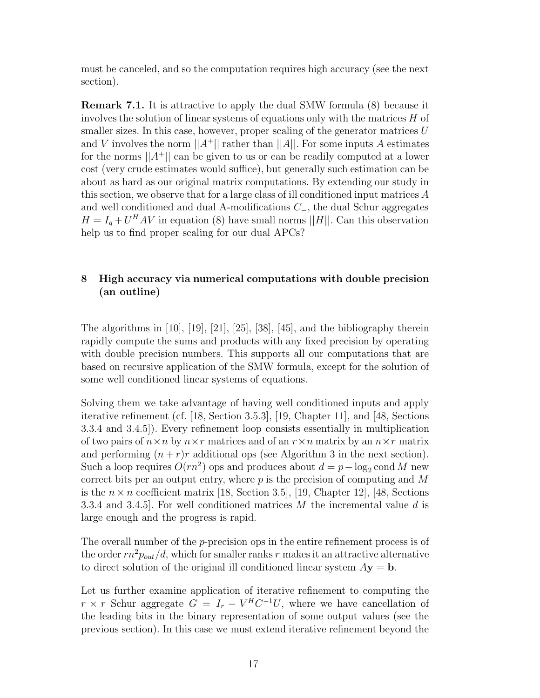must be canceled, and so the computation requires high accuracy (see the next section).

**Remark 7.1.** It is attractive to apply the dual SMW formula (8) because it involves the solution of linear systems of equations only with the matrices H of smaller sizes. In this case, however, proper scaling of the generator matrices  $U$ and V involves the norm  $||A^+||$  rather than  $||A||$ . For some inputs A estimates for the norms  $||A^+||$  can be given to us or can be readily computed at a lower cost (very crude estimates would suffice), but generally such estimation can be about as hard as our original matrix computations. By extending our study in this section, we observe that for a large class of ill conditioned input matrices  $A$ and well conditioned and dual A-modifications C−, the dual Schur aggregates  $H = I_q + U^H A V$  in equation (8) have small norms ||H||. Can this observation help us to find proper scaling for our dual APCs?

### **8 High accuracy via numerical computations with double precision (an outline)**

The algorithms in [10], [19], [21], [25], [38], [45], and the bibliography therein rapidly compute the sums and products with any fixed precision by operating with double precision numbers. This supports all our computations that are based on recursive application of the SMW formula, except for the solution of some well conditioned linear systems of equations.

Solving them we take advantage of having well conditioned inputs and apply iterative refinement (cf. [18, Section 3.5.3], [19, Chapter 11], and [48, Sections 3.3.4 and 3.4.5]). Every refinement loop consists essentially in multiplication of two pairs of  $n \times n$  by  $n \times r$  matrices and of an  $r \times n$  matrix by an  $n \times r$  matrix and performing  $(n + r)r$  additional ops (see Algorithm 3 in the next section). Such a loop requires  $O(rn^2)$  ops and produces about  $d = p - \log_2 \text{cond } M$  new correct bits per an output entry, where  $p$  is the precision of computing and  $M$ is the  $n \times n$  coefficient matrix [18, Section 3.5], [19, Chapter 12], [48, Sections 3.3.4 and 3.4.5. For well conditioned matrices M the incremental value d is large enough and the progress is rapid.

The overall number of the *p*-precision ops in the entire refinement process is of the order  $rn^2p_{out}/d$ , which for smaller ranks r makes it an attractive alternative to direct solution of the original ill conditioned linear system  $A$ **y** = **b**.

Let us further examine application of iterative refinement to computing the  $r \times r$  Schur aggregate  $G = I_r - V^H C^{-1} U$ , where we have cancellation of the leading bits in the binary representation of some output values (see the previous section). In this case we must extend iterative refinement beyond the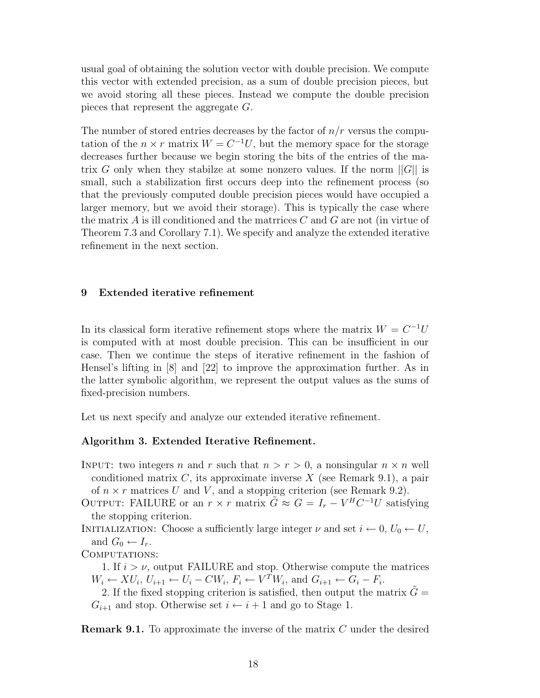usual goal of obtaining the solution vector with double precision. We compute this vector with extended precision, as a sum of double precision pieces, but we avoid storing all these pieces. Instead we compute the double precision pieces that represent the aggregate G.

The number of stored entries decreases by the factor of  $n/r$  versus the computation of the  $n \times r$  matrix  $W = C^{-1}U$ , but the memory space for the storage decreases further because we begin storing the bits of the entries of the matrix G only when they stabilze at some nonzero values. If the norm  $||G||$  is small, such a stabilization first occurs deep into the refinement process (so that the previously computed double precision pieces would have occupied a larger memory, but we avoid their storage). This is typically the case where the matrix  $A$  is ill conditioned and the matrices  $C$  and  $G$  are not (in virtue of Theorem 7.3 and Corollary 7.1). We specify and analyze the extended iterative refinement in the next section.

#### **9 Extended iterative refinement**

In its classical form iterative refinement stops where the matrix  $W = C^{-1}U$ is computed with at most double precision. This can be insufficient in our case. Then we continue the steps of iterative refinement in the fashion of Hensel's lifting in [8] and [22] to improve the approximation further. As in the latter symbolic algorithm, we represent the output values as the sums of fixed-precision numbers.

Let us next specify and analyze our extended iterative refinement.

### **Algorithm 3. Extended Iterative Refinement.**

- INPUT: two integers n and r such that  $n>r>0$ , a nonsingular  $n \times n$  well conditioned matrix  $C$ , its approximate inverse  $X$  (see Remark 9.1), a pair of  $n \times r$  matrices U and V, and a stopping criterion (see Remark 9.2).
- OUTPUT: FAILURE or an  $r \times r$  matrix  $\tilde{G} \approx G = I_r V^H C^{-1} U$  satisfying the stopping criterion.
- INITIALIZATION: Choose a sufficiently large integer  $\nu$  and set  $i \leftarrow 0, U_0 \leftarrow U$ , and  $G_0 \leftarrow I_r$ .

COMPUTATIONS:

- 1. If  $i > \nu$ , output FAILURE and stop. Otherwise compute the matrices  $W_i \leftarrow XU_i, U_{i+1} \leftarrow U_i - CW_i, F_i \leftarrow V^T W_i$ , and  $G_{i+1} \leftarrow G_i - F_i$ .
- 2. If the fixed stopping criterion is satisfied, then output the matrix  $\tilde{G} =$  $G_{i+1}$  and stop. Otherwise set  $i \leftarrow i+1$  and go to Stage 1.

**Remark 9.1.** To approximate the inverse of the matrix C under the desired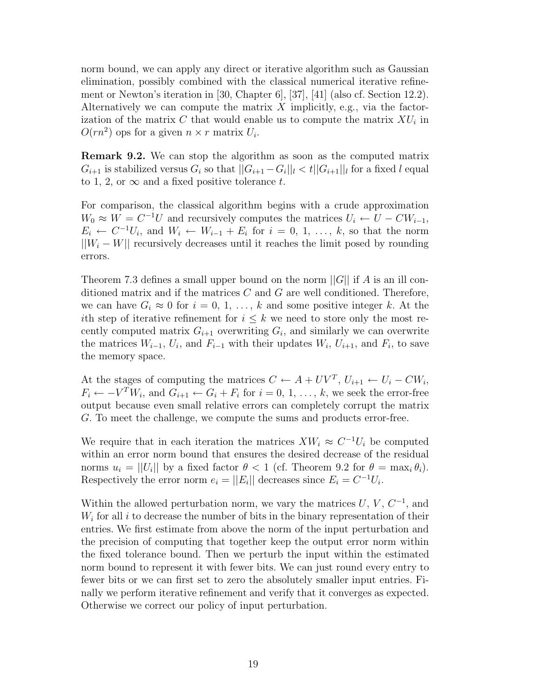norm bound, we can apply any direct or iterative algorithm such as Gaussian elimination, possibly combined with the classical numerical iterative refinement or Newton's iteration in [30, Chapter 6], [37], [41] (also cf. Section 12.2). Alternatively we can compute the matrix  $X$  implicitly, e.g., via the factorization of the matrix C that would enable us to compute the matrix  $XU_i$  in  $O(rn^2)$  ops for a given  $n \times r$  matrix  $U_i$ .

**Remark 9.2.** We can stop the algorithm as soon as the computed matrix  $G_{i+1}$  is stabilized versus  $G_i$  so that  $||G_{i+1} - G_i||_l < t ||G_{i+1}||_l$  for a fixed l equal to 1, 2, or  $\infty$  and a fixed positive tolerance t.

For comparison, the classical algorithm begins with a crude approximation  $W_0 \approx W = C^{-1}U$  and recursively computes the matrices  $U_i \leftarrow U - CW_{i-1}$ ,  $E_i \leftarrow C^{-1}U_i$ , and  $W_i \leftarrow W_{i-1} + E_i$  for  $i = 0, 1, \ldots, k$ , so that the norm  $||W_i - W||$  recursively decreases until it reaches the limit posed by rounding errors.

Theorem 7.3 defines a small upper bound on the norm  $||G||$  if A is an ill conditioned matrix and if the matrices  $C$  and  $G$  are well conditioned. Therefore, we can have  $G_i \approx 0$  for  $i = 0, 1, \ldots, k$  and some positive integer k. At the ith step of iterative refinement for  $i \leq k$  we need to store only the most recently computed matrix  $G_{i+1}$  overwriting  $G_i$ , and similarly we can overwrite the matrices  $W_{i-1}$ ,  $U_i$ , and  $F_{i-1}$  with their updates  $W_i$ ,  $U_{i+1}$ , and  $F_i$ , to save the memory space.

At the stages of computing the matrices  $C \leftarrow A + UV^T$ ,  $U_{i+1} \leftarrow U_i - CW_i$ ,  $F_i \leftarrow -V^T W_i$ , and  $G_{i+1} \leftarrow G_i + F_i$  for  $i = 0, 1, ..., k$ , we seek the error-free output because even small relative errors can completely corrupt the matrix G. To meet the challenge, we compute the sums and products error-free.

We require that in each iteration the matrices  $XW_i \approx C^{-1}U_i$  be computed within an error norm bound that ensures the desired decrease of the residual norms  $u_i = ||U_i||$  by a fixed factor  $\theta < 1$  (cf. Theorem 9.2 for  $\theta = \max_i \theta_i$ ). Respectively the error norm  $e_i = ||E_i||$  decreases since  $E_i = C^{-1}U_i$ .

Within the allowed perturbation norm, we vary the matrices  $U, V, C^{-1}$ , and  $W_i$  for all i to decrease the number of bits in the binary representation of their entries. We first estimate from above the norm of the input perturbation and the precision of computing that together keep the output error norm within the fixed tolerance bound. Then we perturb the input within the estimated norm bound to represent it with fewer bits. We can just round every entry to fewer bits or we can first set to zero the absolutely smaller input entries. Finally we perform iterative refinement and verify that it converges as expected. Otherwise we correct our policy of input perturbation.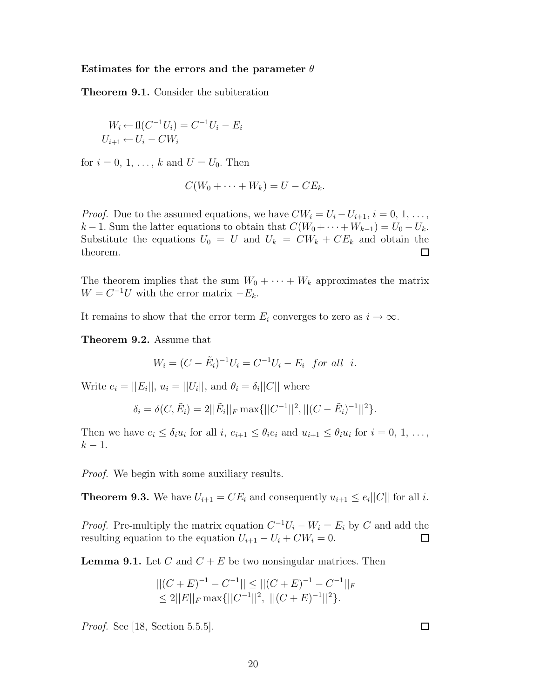#### **Estimates for the errors and the parameter** θ

**Theorem 9.1.** Consider the subiteration

$$
W_i \leftarrow \mathbf{fl}(C^{-1}U_i) = C^{-1}U_i - E_i
$$
  

$$
U_{i+1} \leftarrow U_i - CW_i
$$

for  $i = 0, 1, ..., k$  and  $U = U_0$ . Then

$$
C(W_0 + \cdots + W_k) = U - CE_k.
$$

*Proof.* Due to the assumed equations, we have  $CW_i = U_i - U_{i+1}, i = 0, 1, \ldots$ ,  $k-1$ . Sum the latter equations to obtain that  $C(W_0 + \cdots + W_{k-1}) = U_0 - U_k$ . Substitute the equations  $U_0 = U$  and  $U_k = CW_k + CE_k$  and obtain the theorem. ப

The theorem implies that the sum  $W_0 + \cdots + W_k$  approximates the matrix  $W = C^{-1}U$  with the error matrix  $-E_k$ .

It remains to show that the error term  $E_i$  converges to zero as  $i \to \infty$ .

**Theorem 9.2.** Assume that

$$
W_i = (C - \tilde{E}_i)^{-1} U_i = C^{-1} U_i - E_i \text{ for all } i.
$$

Write  $e_i = ||E_i||$ ,  $u_i = ||U_i||$ , and  $\theta_i = \delta_i ||C||$  where

$$
\delta_i = \delta(C, \tilde{E}_i) = 2||\tilde{E}_i||_F \max\{||C^{-1}||^2, ||(C - \tilde{E}_i)^{-1}||^2\}.
$$

Then we have  $e_i \leq \delta_i u_i$  for all  $i, e_{i+1} \leq \theta_i e_i$  and  $u_{i+1} \leq \theta_i u_i$  for  $i = 0, 1, \ldots,$  $k-1$ .

*Proof.* We begin with some auxiliary results.

**Theorem 9.3.** We have  $U_{i+1} = CE_i$  and consequently  $u_{i+1} \leq e_i ||C||$  for all i.

*Proof.* Pre-multiply the matrix equation  $C^{-1}U_i - W_i = E_i$  by C and add the resulting equation to the equation  $U_{i+1} - U_i + CW_i = 0$ .  $\Box$ 

**Lemma 9.1.** Let C and  $C + E$  be two nonsingular matrices. Then

$$
||(C+E)^{-1} - C^{-1}|| \le ||(C+E)^{-1} - C^{-1}||_F
$$
  
\n
$$
\le 2||E||_F \max\{||C^{-1}||^2, ||(C+E)^{-1}||^2\}.
$$

*Proof.* See [18, Section 5.5.5].

 $\Box$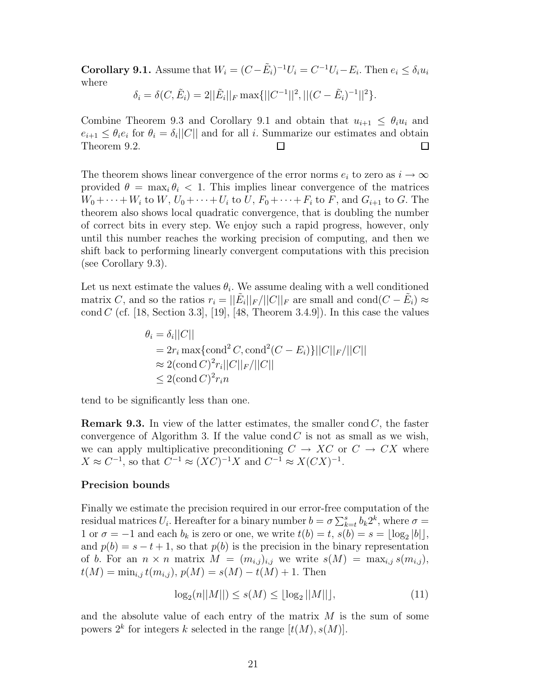**Corollary 9.1.** Assume that  $W_i = (C - \tilde{E}_i)^{-1}U_i = C^{-1}U_i - E_i$ . Then  $e_i \le \delta_i u_i$ where

$$
\delta_i = \delta(C, \tilde{E}_i) = 2||\tilde{E}_i||_F \max\{||C^{-1}||^2, ||(C - \tilde{E}_i)^{-1}||^2\}.
$$

Combine Theorem 9.3 and Corollary 9.1 and obtain that  $u_{i+1} \leq \theta_i u_i$  and  $e_{i+1} \leq \theta_i e_i$  for  $\theta_i = \delta_i ||C||$  and for all i. Summarize our estimates and obtain Theorem 9.2.  $\Box$ □

The theorem shows linear convergence of the error norms  $e_i$  to zero as  $i \to \infty$ provided  $\theta = \max_i \theta_i < 1$ . This implies linear convergence of the matrices  $W_0 + \cdots + W_i$  to  $W, U_0 + \cdots + U_i$  to  $U, F_0 + \cdots + F_i$  to  $F$ , and  $G_{i+1}$  to  $G$ . The theorem also shows local quadratic convergence, that is doubling the number of correct bits in every step. We enjoy such a rapid progress, however, only until this number reaches the working precision of computing, and then we shift back to performing linearly convergent computations with this precision (see Corollary 9.3).

Let us next estimate the values  $\theta_i$ . We assume dealing with a well conditioned matrix C, and so the ratios  $r_i = ||\tilde{E}_i||_F/||C||_F$  are small and cond $(C - \tilde{E}_i) \approx$ cond C (cf. [18, Section 3.3], [19], [48, Theorem 3.4.9]). In this case the values

$$
\theta_i = \delta_i ||C||
$$
  
=  $2r_i \max{\text{cond}^2 C, \text{cond}^2 (C - E_i)} ||C||_F / ||C||$   
 $\approx 2(\text{cond } C)^2 r_i ||C||_F / ||C||$   
 $\leq 2(\text{cond } C)^2 r_i n$ 

tend to be significantly less than one.

**Remark 9.3.** In view of the latter estimates, the smaller cond  $C$ , the faster convergence of Algorithm 3. If the value cond  $C$  is not as small as we wish, we can apply multiplicative preconditioning  $C \to XC$  or  $C \to CX$  where  $X \approx C^{-1}$ , so that  $C^{-1} \approx (XC)^{-1}X$  and  $C^{-1} \approx X(CX)^{-1}$ .

#### **Precision bounds**

Finally we estimate the precision required in our error-free computation of the residual matrices  $U_i$ . Hereafter for a binary number  $b = \sigma \sum_{k=t}^{s} b_k 2^k$ , where  $\sigma =$ 1 or  $\sigma = -1$  and each  $b_k$  is zero or one, we write  $t(b) = t$ ,  $s(b) = s = \lfloor \log_2 |b| \rfloor$ , and  $p(b) = s - t + 1$ , so that  $p(b)$  is the precision in the binary representation of b. For an  $n \times n$  matrix  $M = (m_{i,j})_{i,j}$  we write  $s(M) = \max_{i,j} s(m_{i,j}),$  $t(M) = \min_{i,j} t(m_{i,j}), p(M) = s(M) - t(M) + 1.$  Then

$$
\log_2(n||M||) \le s(M) \le \lfloor \log_2 ||M|| \rfloor, \tag{11}
$$

and the absolute value of each entry of the matrix  $M$  is the sum of some powers  $2^k$  for integers k selected in the range  $[t(M), s(M)]$ .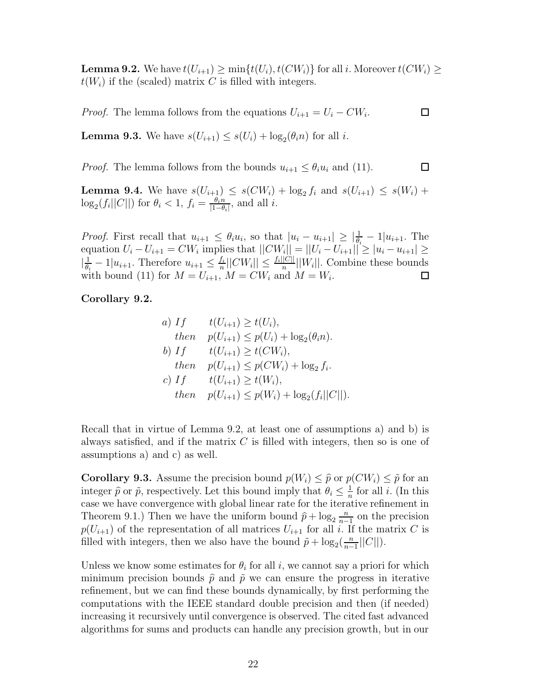**Lemma 9.2.** We have  $t(U_{i+1}) \ge \min\{t(U_i), t(CW_i)\}\$  for all i. Moreover  $t(CW_i) \ge$  $t(W_i)$  if the (scaled) matrix C is filled with integers.

*Proof.* The lemma follows from the equations  $U_{i+1} = U_i - CW_i$ .

 $\Box$ 

**Lemma 9.3.** We have  $s(U_{i+1}) \leq s(U_i) + \log_2(\theta_i n)$  for all *i*.

 $\Box$ *Proof.* The lemma follows from the bounds  $u_{i+1} \leq \theta_i u_i$  and (11).

**Lemma 9.4.** We have  $s(U_{i+1}) \leq s(CW_i) + \log_2 f_i$  and  $s(U_{i+1}) \leq s(W_i) +$  $\log_2(f_i||C||)$  for  $\theta_i < 1$ ,  $f_i = \frac{\theta_i n}{|1-\theta_i|}$ , and all *i*.

*Proof.* First recall that  $u_{i+1} \leq \theta_i u_i$ , so that  $|u_i - u_{i+1}| \geq \left| \frac{1}{\theta_i} - 1 \right| u_{i+1}$ . The equation  $U_i - U_{i+1} = CW_i$  implies that  $||CW_i|| = ||U_i - U_{i+1}|| \ge |u_i - u_{i+1}| \ge$  $\left|\frac{1}{\theta_i}-1|u_{i+1}$ . Therefore  $u_{i+1} \leq \frac{f_i}{n}||CW_i|| \leq \frac{f_i||C||}{n}||W_i||$ . Combine these bounds with bound (11) for  $M = U_{i+1}$ ,  $M = CW_i$  and  $M = W_i$ .

#### **Corollary 9.2.**

a) If 
$$
t(U_{i+1}) \ge t(U_i)
$$
,  
\nthen  $p(U_{i+1}) \le p(U_i) + \log_2(\theta_i n)$ .  
\nb) If  $t(U_{i+1}) \ge t(CW_i)$ ,  
\nthen  $p(U_{i+1}) \le p(CW_i) + \log_2 f_i$ .  
\nc) If  $t(U_{i+1}) \ge t(W_i)$ ,  
\nthen  $p(U_{i+1}) \le p(W_i) + \log_2(f_i||C||)$ .

Recall that in virtue of Lemma 9.2, at least one of assumptions a) and b) is always satisfied, and if the matrix  $C$  is filled with integers, then so is one of assumptions a) and c) as well.

**Corollary 9.3.** Assume the precision bound  $p(W_i) \leq \hat{p}$  or  $p(CW_i) \leq \tilde{p}$  for an integer  $\hat{p}$  or  $\tilde{p}$ , respectively. Let this bound imply that  $\theta_i \leq \frac{1}{n}$  for all i. (In this case we have convergence with global linear rate for the iterative refinement in Theorem 9.1.) Then we have the uniform bound  $\hat{p} + \log_2 \frac{n}{n-1}$  on the precision  $p(U_{i+1})$  of the representation of all matrices  $U_{i+1}$  for all i. If the matrix C is filled with integers, then we also have the bound  $\tilde{p} + \log_2(\frac{n}{n-1}||C||)$ .

Unless we know some estimates for  $\theta_i$  for all i, we cannot say a priori for which minimum precision bounds  $\hat{p}$  and  $\tilde{p}$  we can ensure the progress in iterative refinement, but we can find these bounds dynamically, by first performing the computations with the IEEE standard double precision and then (if needed) increasing it recursively until convergence is observed. The cited fast advanced algorithms for sums and products can handle any precision growth, but in our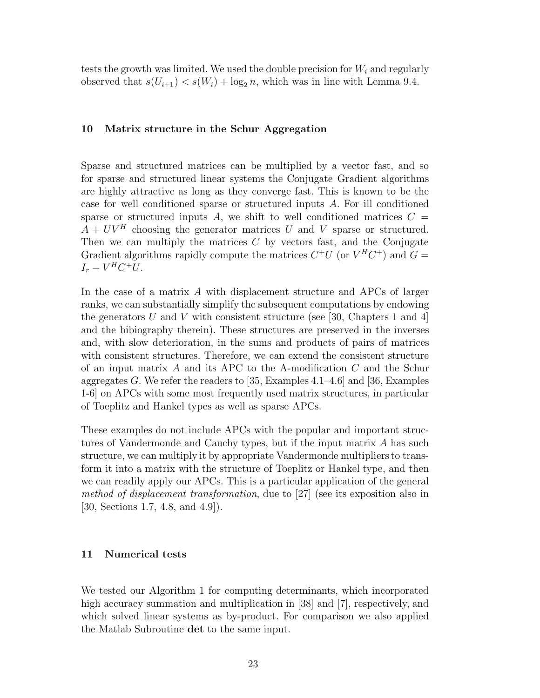tests the growth was limited. We used the double precision for  $W_i$  and regularly observed that  $s(U_{i+1}) < s(W_i) + \log_2 n$ , which was in line with Lemma 9.4.

#### **10 Matrix structure in the Schur Aggregation**

Sparse and structured matrices can be multiplied by a vector fast, and so for sparse and structured linear systems the Conjugate Gradient algorithms are highly attractive as long as they converge fast. This is known to be the case for well conditioned sparse or structured inputs A. For ill conditioned sparse or structured inputs A, we shift to well conditioned matrices  $C =$  $A + UV^H$  choosing the generator matrices U and V sparse or structured. Then we can multiply the matrices  $C$  by vectors fast, and the Conjugate Gradient algorithms rapidly compute the matrices  $C^+U$  (or  $V^HC^+$ ) and  $G =$  $I_r - V^H C^+ U$ .

In the case of a matrix A with displacement structure and APCs of larger ranks, we can substantially simplify the subsequent computations by endowing the generators U and V with consistent structure (see [30, Chapters 1 and 4] and the bibiography therein). These structures are preserved in the inverses and, with slow deterioration, in the sums and products of pairs of matrices with consistent structures. Therefore, we can extend the consistent structure of an input matrix  $A$  and its APC to the A-modification  $C$  and the Schur aggregates G. We refer the readers to [35, Examples 4.1–4.6] and [36, Examples 1-6] on APCs with some most frequently used matrix structures, in particular of Toeplitz and Hankel types as well as sparse APCs.

These examples do not include APCs with the popular and important structures of Vandermonde and Cauchy types, but if the input matrix A has such structure, we can multiply it by appropriate Vandermonde multipliers to transform it into a matrix with the structure of Toeplitz or Hankel type, and then we can readily apply our APCs. This is a particular application of the general *method of displacement transformation*, due to [27] (see its exposition also in [30, Sections 1.7, 4.8, and 4.9]).

#### **11 Numerical tests**

We tested our Algorithm 1 for computing determinants, which incorporated high accuracy summation and multiplication in [38] and [7], respectively, and which solved linear systems as by-product. For comparison we also applied the Matlab Subroutine **det** to the same input.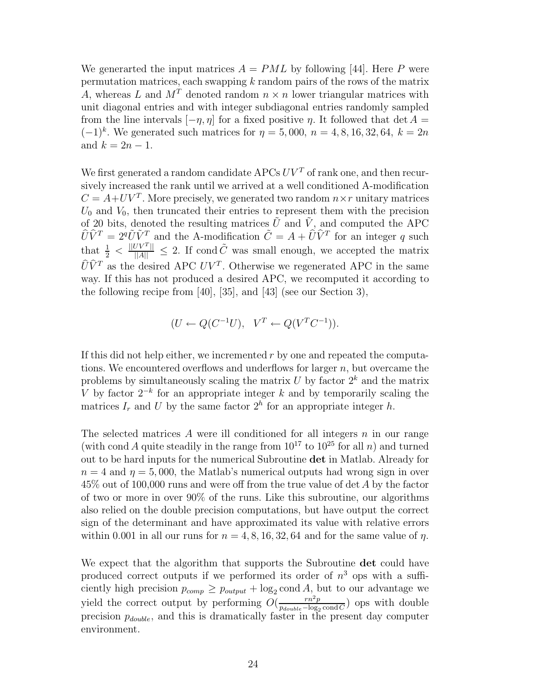We generarted the input matrices  $A = PML$  by following [44]. Here P were permutation matrices, each swapping  $k$  random pairs of the rows of the matrix A, whereas L and  $M<sup>T</sup>$  denoted random  $n \times n$  lower triangular matrices with unit diagonal entries and with integer subdiagonal entries randomly sampled from the line intervals  $[-\eta, \eta]$  for a fixed positive  $\eta$ . It followed that det  $A =$  $(-1)^k$ . We generated such matrices for  $\eta = 5,000, n = 4, 8, 16, 32, 64, k = 2n$ and  $k = 2n - 1$ .

We first generated a random candidate APCs  $UV<sup>T</sup>$  of rank one, and then recursively increased the rank until we arrived at a well conditioned A-modification  $C = A + UV^T$ . More precisely, we generated two random  $n \times r$  unitary matrices  $U_0$  and  $V_0$ , then truncated their entries to represent them with the precision of 20 bits, denoted the resulting matrices  $\tilde{U}$  and  $\tilde{V}$ , and computed the APC  $\cup$  $\hat{U}\hat{V}^T = 2^q \tilde{U}\tilde{V}^T$  and the A-modification  $\tilde{C} = A + \hat{U}\hat{V}^T$  for an integer q such that  $\frac{1}{2} < \frac{||UV^T||}{||A||} \leq 2$ . If cond  $\tilde{C}$  was small enough, we accepted the matrix  $\hat{U}\hat{V}^T$  as the desired APC  $UV^T$ . Otherwise we regenerated APC in the same way. If this has not produced a desired APC, we recomputed it according to the following recipe from [40], [35], and [43] (see our Section 3),

$$
(U \leftarrow Q(C^{-1}U), \quad V^T \leftarrow Q(V^TC^{-1})).
$$

If this did not help either, we incremented r by one and repeated the computations. We encountered overflows and underflows for larger  $n$ , but overcame the problems by simultaneously scaling the matrix  $U$  by factor  $2^k$  and the matrix V by factor  $2^{-k}$  for an appropriate integer k and by temporarily scaling the matrices  $I_r$  and U by the same factor  $2^h$  for an appropriate integer h.

The selected matrices  $\tilde{A}$  were ill conditioned for all integers  $n$  in our range (with cond A quite steadily in the range from  $10^{17}$  to  $10^{25}$  for all n) and turned out to be hard inputs for the numerical Subroutine **det** in Matlab. Already for  $n = 4$  and  $\eta = 5,000$ , the Matlab's numerical outputs had wrong sign in over 45% out of 100,000 runs and were off from the true value of det A by the factor of two or more in over 90% of the runs. Like this subroutine, our algorithms also relied on the double precision computations, but have output the correct sign of the determinant and have approximated its value with relative errors within 0.001 in all our runs for  $n = 4, 8, 16, 32, 64$  and for the same value of  $\eta$ .

We expect that the algorithm that supports the Subroutine **det** could have produced correct outputs if we performed its order of  $n<sup>3</sup>$  ops with a sufficiently high precision  $p_{comp} \geq p_{output} + \log_2 \text{cond } A$ , but to our advantage we yield the correct output by performing  $O(\frac{rn^2p}{p_{double} - \log_2 \text{cond } C})$  ops with double precision  $p_{double}$ , and this is dramatically faster in the present day computer environment.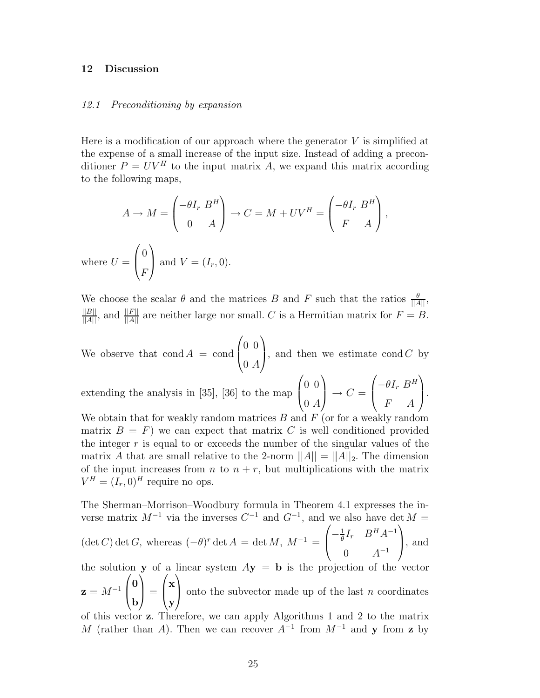#### **12 Discussion**

#### *12.1 Preconditioning by expansion*

Here is a modification of our approach where the generator  $V$  is simplified at the expense of a small increase of the input size. Instead of adding a preconditioner  $P = UV^H$  to the input matrix A, we expand this matrix according to the following maps,

$$
A \to M = \begin{pmatrix} -\theta I_r & B^H \\ 0 & A \end{pmatrix} \to C = M + UV^H = \begin{pmatrix} -\theta I_r & B^H \\ F & A \end{pmatrix},
$$
  
where  $U = \begin{pmatrix} 0 \\ F \end{pmatrix}$  and  $V = (I_r, 0)$ .

We choose the scalar  $\theta$  and the matrices B and F such that the ratios  $\frac{\theta}{\|A\|}$ ,  $\frac{||B||}{||A||}$ , and  $\frac{||F||}{||A||}$  are neither large nor small. C is a Hermitian matrix for  $F = B$ .

We observe that  $\text{cond } A = \text{cond}$  $\sqrt{ }$  $\left\{ \right.$ 0 0  $0\ A$  $\setminus$ , and then we estimate  $\text{cond } C$  by

extending the analysis in [35], [36] to the map  $\sqrt{ }$  $\left\lfloor \right\rfloor$ 0 0  $0\ A$  $\setminus$  $\Big\} \rightarrow C =$  $\sqrt{ }$  $\overline{ }$  $-\theta I_r B^H$ F A  $\setminus$  $\cdot$ 

We obtain that for weakly random matrices  $B$  and  $F$  (or for a weakly random matrix  $B = F$ ) we can expect that matrix C is well conditioned provided the integer  $r$  is equal to or exceeds the number of the singular values of the matrix A that are small relative to the 2-norm  $||A|| = ||A||_2$ . The dimension of the input increases from  $n$  to  $n + r$ , but multiplications with the matrix  $V^H = (I_r, 0)^H$  require no ops.

The Sherman–Morrison–Woodbury formula in Theorem 4.1 expresses the inverse matrix  $M^{-1}$  via the inverses  $C^{-1}$  and  $G^{-1}$ , and we also have det  $M =$  $\sqrt{ }$  $\setminus$ 

 $(\det C) \det G$ , whereas  $(-\theta)^r \det A = \det M$ ,  $M^{-1} =$  $\left\{ \right.$  $-\frac{1}{\theta}I_r$   $B^H A^{-1}$ 0  $A^{-1}$ , and

the solution **y** of a linear system  $A$ **y** = **b** is the projection of the vector  $z = M^{-1}$  $\sqrt{ }$  $\left\{ \right.$ **0 b**  $\setminus$  $\Big\} =$  $\sqrt{ }$  $\left\{ \right.$ **x y**  $\setminus$ onto the subvector made up of the last  $n$  coordinates of this vector **z**. Therefore, we can apply Algorithms 1 and 2 to the matrix

M (rather than A). Then we can recover  $A^{-1}$  from  $M^{-1}$  and **y** from **z** by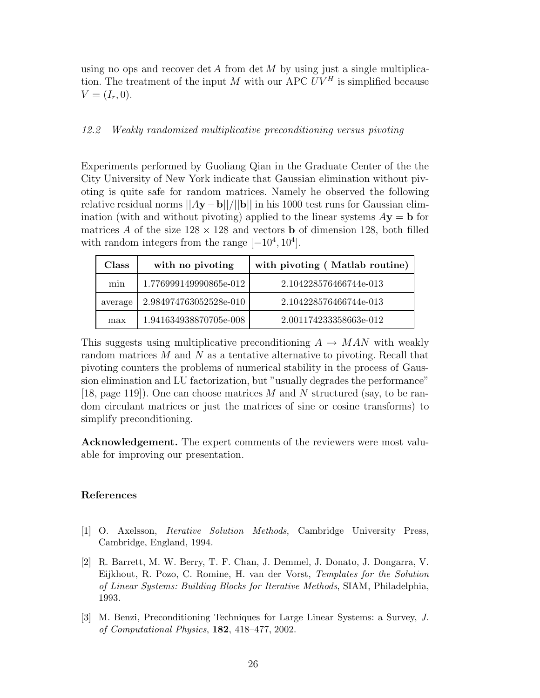using no ops and recover det A from det M by using just a single multiplication. The treatment of the input M with our APC  $UV^H$  is simplified because  $V = (I_r, 0).$ 

#### *12.2 Weakly randomized multiplicative preconditioning versus pivoting*

Experiments performed by Guoliang Qian in the Graduate Center of the the City University of New York indicate that Gaussian elimination without pivoting is quite safe for random matrices. Namely he observed the following relative residual norms ||A**y**−**b**||/||**b**|| in his 1000 test runs for Gaussian elimination (with and without pivoting) applied to the linear systems  $A$ **y** = **b** for matrices A of the size  $128 \times 128$  and vectors **b** of dimension 128, both filled with random integers from the range  $[-10^4, 10^4]$ .

| Class   | with no pivoting       | with pivoting (Matlab routine) |
|---------|------------------------|--------------------------------|
| min     | 1.776999149990865e-012 | 2.104228576466744e-013         |
| average | 2.984974763052528e-010 | 2.104228576466744e-013         |
| max     | 1.941634938870705e-008 | 2.001174233358663e-012         |

This suggests using multiplicative preconditioning  $A \rightarrow MAN$  with weakly random matrices  $M$  and  $N$  as a tentative alternative to pivoting. Recall that pivoting counters the problems of numerical stability in the process of Gaussion elimination and LU factorization, but "usually degrades the performance" [18, page 119]). One can choose matrices M and N structured (say, to be random circulant matrices or just the matrices of sine or cosine transforms) to simplify preconditioning.

**Acknowledgement.** The expert comments of the reviewers were most valuable for improving our presentation.

#### **References**

- [1] O. Axelsson, *Iterative Solution Methods*, Cambridge University Press, Cambridge, England, 1994.
- [2] R. Barrett, M. W. Berry, T. F. Chan, J. Demmel, J. Donato, J. Dongarra, V. Eijkhout, R. Pozo, C. Romine, H. van der Vorst, *Templates for the Solution of Linear Systems: Building Blocks for Iterative Methods*, SIAM, Philadelphia, 1993.
- [3] M. Benzi, Preconditioning Techniques for Large Linear Systems: a Survey, *J. of Computational Physics*, **182**, 418–477, 2002.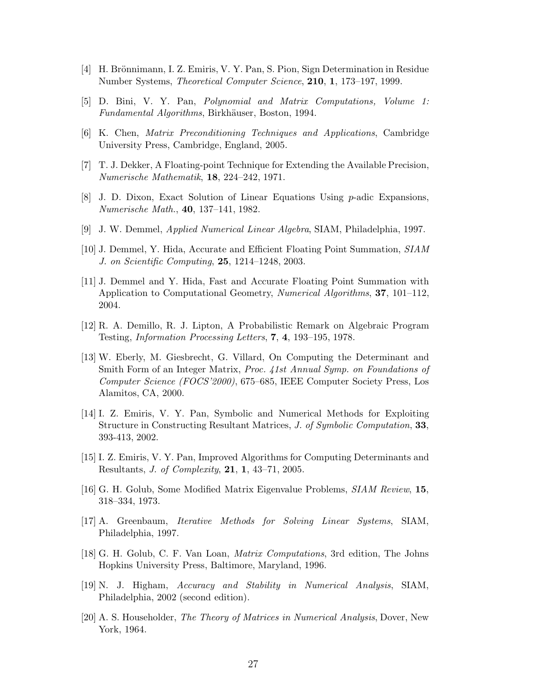- [4] H. Brönnimann, I. Z. Emiris, V. Y. Pan, S. Pion, Sign Determination in Residue Number Systems, *Theoretical Computer Science*, **210**, **1**, 173–197, 1999.
- [5] D. Bini, V. Y. Pan, *Polynomial and Matrix Computations, Volume 1: Fundamental Algorithms*, Birkhäuser, Boston, 1994.
- [6] K. Chen, *Matrix Preconditioning Techniques and Applications*, Cambridge University Press, Cambridge, England, 2005.
- [7] T. J. Dekker, A Floating-point Technique for Extending the Available Precision, *Numerische Mathematik*, **18**, 224–242, 1971.
- [8] J. D. Dixon, Exact Solution of Linear Equations Using p-adic Expansions, *Numerische Math.*, **40**, 137–141, 1982.
- [9] J. W. Demmel, *Applied Numerical Linear Algebra*, SIAM, Philadelphia, 1997.
- [10] J. Demmel, Y. Hida, Accurate and Efficient Floating Point Summation, *SIAM J. on Scientific Computing*, **25**, 1214–1248, 2003.
- [11] J. Demmel and Y. Hida, Fast and Accurate Floating Point Summation with Application to Computational Geometry, *Numerical Algorithms*, **37**, 101–112, 2004.
- [12] R. A. Demillo, R. J. Lipton, A Probabilistic Remark on Algebraic Program Testing, *Information Processing Letters*, **7**, **4**, 193–195, 1978.
- [13] W. Eberly, M. Giesbrecht, G. Villard, On Computing the Determinant and Smith Form of an Integer Matrix, *Proc. 41st Annual Symp. on Foundations of Computer Science (FOCS'2000)*, 675–685, IEEE Computer Society Press, Los Alamitos, CA, 2000.
- [14] I. Z. Emiris, V. Y. Pan, Symbolic and Numerical Methods for Exploiting Structure in Constructing Resultant Matrices, *J. of Symbolic Computation*, **33**, 393-413, 2002.
- [15] I. Z. Emiris, V. Y. Pan, Improved Algorithms for Computing Determinants and Resultants, *J. of Complexity*, **21**, **1**, 43–71, 2005.
- [16] G. H. Golub, Some Modified Matrix Eigenvalue Problems, *SIAM Review*, **15**, 318–334, 1973.
- [17] A. Greenbaum, *Iterative Methods for Solving Linear Systems*, SIAM, Philadelphia, 1997.
- [18] G. H. Golub, C. F. Van Loan, *Matrix Computations*, 3rd edition, The Johns Hopkins University Press, Baltimore, Maryland, 1996.
- [19] N. J. Higham, *Accuracy and Stability in Numerical Analysis*, SIAM, Philadelphia, 2002 (second edition).
- [20] A. S. Householder, *The Theory of Matrices in Numerical Analysis*, Dover, New York, 1964.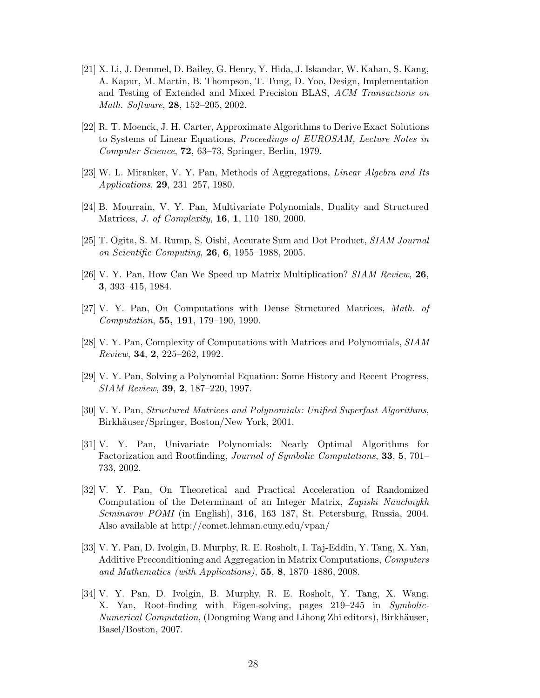- [21] X. Li, J. Demmel, D. Bailey, G. Henry, Y. Hida, J. Iskandar, W. Kahan, S. Kang, A. Kapur, M. Martin, B. Thompson, T. Tung, D. Yoo, Design, Implementation and Testing of Extended and Mixed Precision BLAS, *ACM Transactions on Math. Software*, **28**, 152–205, 2002.
- [22] R. T. Moenck, J. H. Carter, Approximate Algorithms to Derive Exact Solutions to Systems of Linear Equations, *Proceedings of EUROSAM, Lecture Notes in Computer Science*, **72**, 63–73, Springer, Berlin, 1979.
- [23] W. L. Miranker, V. Y. Pan, Methods of Aggregations, *Linear Algebra and Its Applications*, **29**, 231–257, 1980.
- [24] B. Mourrain, V. Y. Pan, Multivariate Polynomials, Duality and Structured Matrices, *J. of Complexity*, **16**, **1**, 110–180, 2000.
- [25] T. Ogita, S. M. Rump, S. Oishi, Accurate Sum and Dot Product, *SIAM Journal on Scientific Computing*, **26**, **6**, 1955–1988, 2005.
- [26] V. Y. Pan, How Can We Speed up Matrix Multiplication? *SIAM Review*, **26**, **3**, 393–415, 1984.
- [27] V. Y. Pan, On Computations with Dense Structured Matrices, *Math. of Computation*, **55, 191**, 179–190, 1990.
- [28] V. Y. Pan, Complexity of Computations with Matrices and Polynomials, *SIAM Review*, **34**, **2**, 225–262, 1992.
- [29] V. Y. Pan, Solving a Polynomial Equation: Some History and Recent Progress, *SIAM Review*, **39**, **2**, 187–220, 1997.
- [30] V. Y. Pan, *Structured Matrices and Polynomials: Unified Superfast Algorithms*, Birkhäuser/Springer, Boston/New York, 2001.
- [31] V. Y. Pan, Univariate Polynomials: Nearly Optimal Algorithms for Factorization and Rootfinding, *Journal of Symbolic Computations*, **33**, **5**, 701– 733, 2002.
- [32] V. Y. Pan, On Theoretical and Practical Acceleration of Randomized Computation of the Determinant of an Integer Matrix, *Zapiski Nauchnykh Seminarov POMI* (in English), **316**, 163–187, St. Petersburg, Russia, 2004. Also available at http://comet.lehman.cuny.edu/vpan/
- [33] V. Y. Pan, D. Ivolgin, B. Murphy, R. E. Rosholt, I. Taj-Eddin, Y. Tang, X. Yan, Additive Preconditioning and Aggregation in Matrix Computations, *Computers and Mathematics (with Applications)*, **55**, **8**, 1870–1886, 2008.
- [34] V. Y. Pan, D. Ivolgin, B. Murphy, R. E. Rosholt, Y. Tang, X. Wang, X. Yan, Root-finding with Eigen-solving, pages 219–245 in *Symbolic-Numerical Computation*, (Dongming Wang and Lihong Zhi editors), Birkhäuser, Basel/Boston, 2007.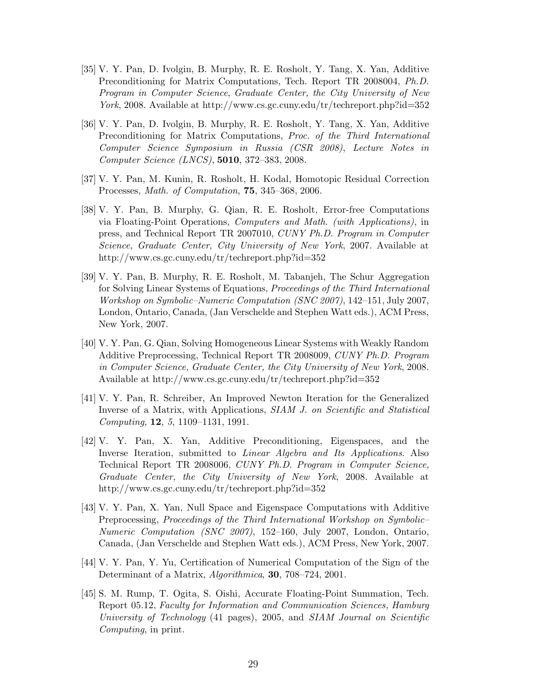- [35] V. Y. Pan, D. Ivolgin, B. Murphy, R. E. Rosholt, Y. Tang, X. Yan, Additive Preconditioning for Matrix Computations, Tech. Report TR 2008004, *Ph.D. Program in Computer Science*, *Graduate Center, the City University of New York*, 2008. Available at http://www.cs.gc.cuny.edu/tr/techreport.php?id=352
- [36] V. Y. Pan, D. Ivolgin, B. Murphy, R. E. Rosholt, Y. Tang, X. Yan, Additive Preconditioning for Matrix Computations, *Proc. of the Third International Computer Science Symposium in Russia (CSR 2008)*, *Lecture Notes in Computer Science (LNCS)*, **5010**, 372–383, 2008.
- [37] V. Y. Pan, M. Kunin, R. Rosholt, H. Kodal, Homotopic Residual Correction Processes, *Math. of Computation*, **75**, 345–368, 2006.
- [38] V. Y. Pan, B. Murphy, G. Qian, R. E. Rosholt, Error-free Computations via Floating-Point Operations, *Computers and Math. (with Applications)*, in press, and Technical Report TR 2007010, *CUNY Ph.D. Program in Computer Science, Graduate Center, City University of New York*, 2007. Available at http://www.cs.gc.cuny.edu/tr/techreport.php?id=352
- [39] V. Y. Pan, B. Murphy, R. E. Rosholt, M. Tabanjeh, The Schur Aggregation for Solving Linear Systems of Equations, *Proceedings of the Third International Workshop on Symbolic–Numeric Computation (SNC 2007)*, 142–151, July 2007, London, Ontario, Canada, (Jan Verschelde and Stephen Watt eds.), ACM Press, New York, 2007.
- [40] V. Y. Pan, G. Qian, Solving Homogeneous Linear Systems with Weakly Random Additive Preprocessing, Technical Report TR 2008009, *CUNY Ph.D. Program in Computer Science, Graduate Center, the City University of New York*, 2008. Available at http://www.cs.gc.cuny.edu/tr/techreport.php?id=352
- [41] V. Y. Pan, R. Schreiber, An Improved Newton Iteration for the Generalized Inverse of a Matrix, with Applications, *SIAM J. on Scientific and Statistical Computing*, **12**, *<sup>5</sup>*, 1109–1131, 1991.
- [42] V. Y. Pan, X. Yan, Additive Preconditioning, Eigenspaces, and the Inverse Iteration, submitted to *Linear Algebra and Its Applications*. Also Technical Report TR 2008006, *CUNY Ph.D. Program in Computer Science, Graduate Center, the City University of New York*, 2008. Available at http://www.cs.gc.cuny.edu/tr/techreport.php?id=352
- [43] V. Y. Pan, X. Yan, Null Space and Eigenspace Computations with Additive Preprocessing, *Proceedings of the Third International Workshop on Symbolic– Numeric Computation (SNC 2007)*, 152–160, July 2007, London, Ontario, Canada, (Jan Verschelde and Stephen Watt eds.), ACM Press, New York, 2007.
- [44] V. Y. Pan, Y. Yu, Certification of Numerical Computation of the Sign of the Determinant of a Matrix, *Algorithmica*, **30**, 708–724, 2001.
- [45] S. M. Rump, T. Ogita, S. Oishi, Accurate Floating-Point Summation, Tech. Report 05.12, *Faculty for Information and Communication Sciences, Hamburg University of Technology* (41 pages), 2005, and *SIAM Journal on Scientific Computing*, in print.